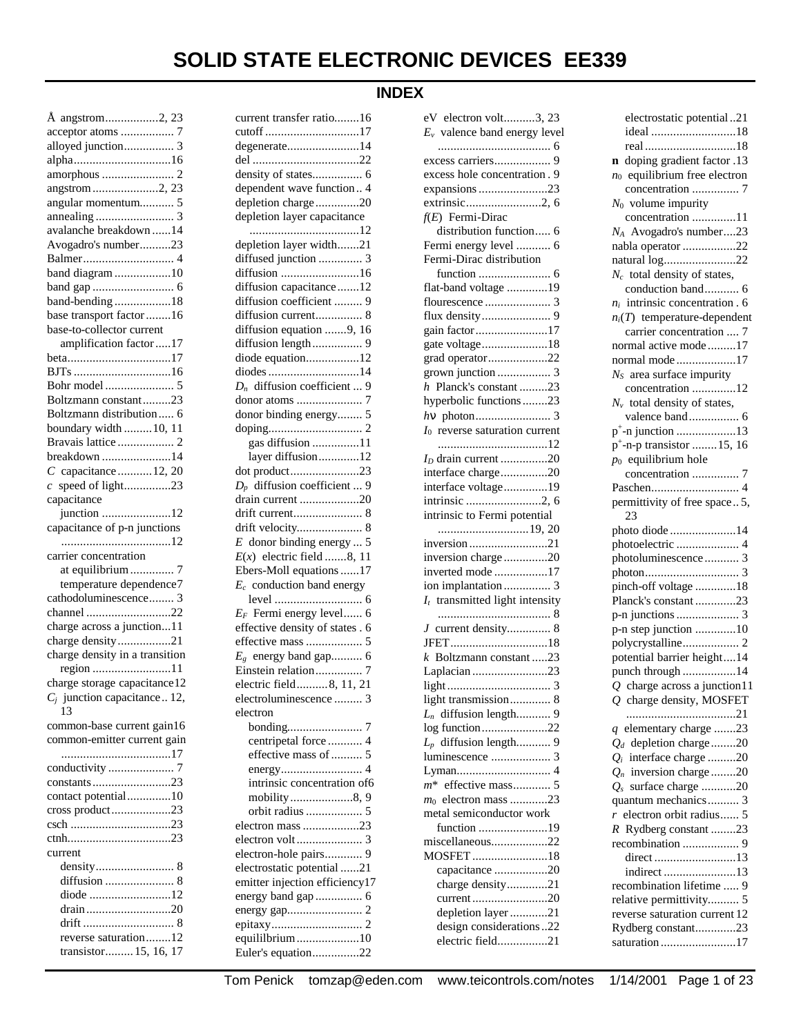# **INDEX**

| Å angstrom2, 23                               |
|-----------------------------------------------|
|                                               |
| alloyed junction 3                            |
|                                               |
|                                               |
| angstrom 2, 23                                |
| angular momentum 5                            |
|                                               |
| avalanche breakdown 14                        |
| Avogadro's number23                           |
|                                               |
| band diagram 10                               |
|                                               |
| band-bending18                                |
| base transport factor 16                      |
| base-to-collector current                     |
| amplification factor17                        |
| beta17                                        |
|                                               |
| Boltzmann constant23                          |
| Boltzmann distribution 6                      |
| boundary width  10, 11                        |
| Bravais lattice  2                            |
| breakdown 14                                  |
| $C$ capacitance  12, 20                       |
| $c$ speed of light23                          |
| capacitance                                   |
| junction 12                                   |
| capacitance of p-n junctions                  |
|                                               |
| carrier concentration                         |
| at equilibrium  7                             |
| temperature dependence7                       |
| cathodoluminescence 3                         |
| channel 22                                    |
| charge across a junction11                    |
| charge density21                              |
| charge density in a transition                |
| region 11                                     |
| charge storage capacitance12                  |
| $C_j$ junction capacitance 12,                |
| 13                                            |
| common-base current gain16                    |
| common-emitter current gain                   |
|                                               |
| conductivity<br>7                             |
| constants23                                   |
| contact potential10                           |
| cross product23                               |
|                                               |
|                                               |
| current                                       |
|                                               |
|                                               |
| diode 12                                      |
| drain20                                       |
|                                               |
| reverse saturation12<br>transistor 15, 16, 17 |
|                                               |

| current transfer ratio16        |
|---------------------------------|
| cutoff 17                       |
| degenerate14                    |
|                                 |
|                                 |
| dependent wave function 4       |
| depletion charge20              |
| depletion layer capacitance     |
|                                 |
|                                 |
| depletion layer width21         |
| diffused junction  3            |
| diffusion 16                    |
| diffusion capacitance12         |
| diffusion coefficient  9        |
| diffusion current 8             |
| diffusion equation 9, 16        |
| diffusion length 9              |
| diode equation12                |
| diodes 14                       |
| $D_n$ diffusion coefficient  9  |
| donor atoms<br>7                |
|                                 |
| donor binding energy 5          |
|                                 |
| gas diffusion 11                |
| layer diffusion12               |
| dot product23                   |
| $D_p$ diffusion coefficient  9  |
| drain current 20                |
| drift current 8                 |
|                                 |
| $E$ donor binding energy  5     |
| $E(x)$ electric field 8, 11     |
| Ebers-Moll equations 17         |
| $E_c$ conduction band energy    |
|                                 |
| $E_F$ Fermi energy level 6      |
| effective density of states . 6 |
|                                 |
| effective mass  5               |
| $E_g$ energy band gap 6         |
| Einstein relation 7             |
| electric field8, 11, 21         |
| electroluminescence  3          |
| electron                        |
|                                 |
| centripetal force  4            |
| effective mass of  5            |
|                                 |
| intrinsic concentration of6     |
| mobility8, 9                    |
|                                 |
| electron mass 23                |
|                                 |
| electron-hole pairs 9           |
|                                 |
| electrostatic potential 21      |
| emitter injection efficiency17  |
| energy band gap  6              |
|                                 |
|                                 |
| equililbrium10                  |
| Euler's equation22              |

| $E_v$ valence band energy level        |
|----------------------------------------|
|                                        |
|                                        |
| excess hole concentration. 9           |
| expansions23                           |
| $f(E)$ Fermi-Dirac                     |
| distribution function 6                |
| Fermi energy level  6                  |
| Fermi-Dirac distribution               |
|                                        |
| flat-band voltage 19                   |
|                                        |
|                                        |
| gain factor17                          |
| gate voltage18                         |
| grad operator22                        |
|                                        |
| h Planck's constant23                  |
| hyperbolic functions23                 |
|                                        |
| $I_0$ reverse saturation current       |
|                                        |
| $I_D$ drain current 20                 |
| interface charge20                     |
| interface voltage19                    |
|                                        |
| intrinsic to Fermi potential           |
|                                        |
|                                        |
| inversion charge20<br>inverted mode 17 |
| ion implantation 3                     |
| $I_t$ transmitted light intensity      |
|                                        |
| 8<br>3 current density 8               |
| JFET18                                 |
| $k$ Boltzmann constant 23              |
| Laplacian23                            |
|                                        |
| light transmission 8                   |
| $L_n$ diffusion length 9               |
| log function22                         |
| $L_p$ diffusion length 9               |
|                                        |
|                                        |
|                                        |
| $m_0$ electron mass 23                 |
| metal semiconductor work               |
| function 19                            |
| miscellaneous22                        |
| MOSFET18                               |
| capacitance 20                         |
| charge density21<br>current20          |
| depletion layer 21                     |
| design considerations22                |
| electric field21                       |
|                                        |

eV electron volt..........3, 23

| electrostatic potential21             |
|---------------------------------------|
| ideal 18                              |
|                                       |
| n doping gradient factor .13          |
| $n_0$ equilibrium free electron       |
| concentration  7                      |
| $N_0$ volume impurity                 |
| concentration 11                      |
| $N_A$ Avogadro's number23             |
| nabla operator 22                     |
| natural log22                         |
| $N_c$ total density of states,        |
| conduction band 6                     |
|                                       |
| $n_i$ intrinsic concentration . 6     |
| $n_i(T)$ temperature-dependent        |
| carrier concentration  7              |
| normal active mode 17                 |
| normal mode17                         |
| $NS$ area surface impurity            |
| concentration 12                      |
| $N_v$ total density of states,        |
| valence band 6                        |
|                                       |
| p <sup>+</sup> -n-p transistor 15, 16 |
| $p_0$ equilibrium hole                |
| concentration  7                      |
|                                       |
| permittivity of free space5,          |
| 23                                    |
| photo diode 14                        |
|                                       |
|                                       |
| photoelectric  4                      |
| photoluminescence 3                   |
|                                       |
| pinch-off voltage 18                  |
| Planck's constant 23                  |
|                                       |
| p-n step junction 10                  |
| polycrystalline 2                     |
| potential barrier height14            |
| punch through 14                      |
| $Q$ charge across a junction 11       |
|                                       |
| Q charge density, MOSFET              |
|                                       |
| q elementary charge 23                |
| $Q_d$ depletion charge20              |
| $Q_i$ interface charge 20             |
| $Q_n$ inversion charge 20             |
| $Q_s$ surface charge 20               |
| quantum mechanics 3                   |
| $r$ electron orbit radius 5           |
| R Rydberg constant 23                 |
|                                       |
| direct 13                             |
| indirect 13                           |
| recombination lifetime  9             |
| relative permittivity 5               |
| reverse saturation current 12         |
| Rydberg constant23<br>saturation17    |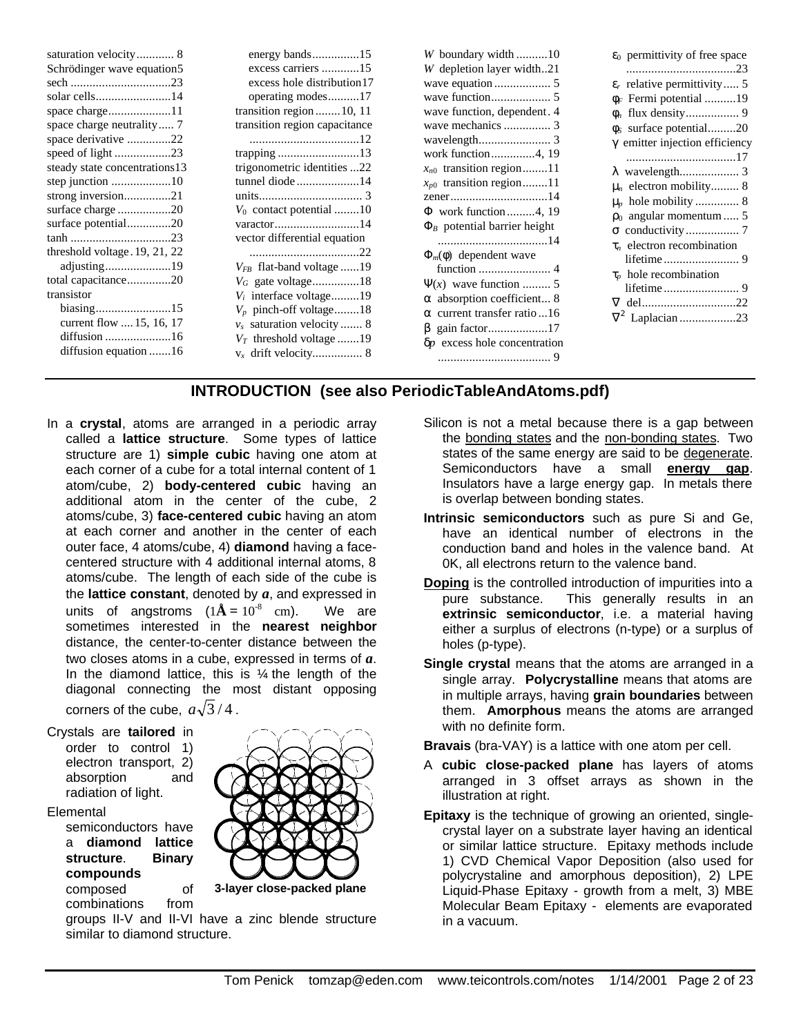|                               |                               | W boundary width10                   | $\varepsilon_0$ permittivity of free space |
|-------------------------------|-------------------------------|--------------------------------------|--------------------------------------------|
| Schrödinger wave equation5    | excess carriers 15            | W depletion layer width21            |                                            |
|                               | excess hole distribution 17   |                                      | $\varepsilon_r$ relative permittivity 5    |
| solar cells14                 | operating modes17             |                                      | $\phi_F$ Fermi potential 19                |
|                               | transition region $10, 11$    | wave function, dependent. 4          |                                            |
| space charge neutrality 7     | transition region capacitance |                                      | $\phi_s$ surface potential20               |
| space derivative 22           |                               |                                      | $\gamma$ emitter injection efficiency      |
|                               |                               | work function4, 19                   |                                            |
| steady state concentrations13 | trigonometric identities 22   | $x_{n0}$ transition region11         |                                            |
|                               | tunnel diode14                | $x_{p0}$ transition region11         | $\mu_n$ electron mobility 8                |
| strong inversion21            |                               |                                      | $\mu_p$ hole mobility  8                   |
|                               | $V_0$ contact potential 10    | $\Phi$ work function 4, 19           | $\rho_0$ angular momentum  5               |
| surface potential20           |                               | $\Phi_B$ potential barrier height    |                                            |
|                               | vector differential equation  |                                      | $\tau_n$ electron recombination            |
| threshold voltage. 19, 21, 22 |                               | $\Phi_m(\phi)$ dependent wave        |                                            |
| adjusting19                   | $V_{FB}$ flat-band voltage 19 |                                      | $\tau_p$ hole recombination                |
| total capacitance20           | $V_G$ gate voltage18          | $\Psi(x)$ wave function  5           |                                            |
| transistor                    | $V_i$ interface voltage19     | $\alpha$ absorption coefficient 8    |                                            |
|                               | $V_p$ pinch-off voltage18     | $\alpha$ current transfer ratio 16   |                                            |
| current flow  15, 16, 17      | $v_s$ saturation velocity  8  | gain factor17                        |                                            |
|                               | $V_T$ threshold voltage 19    | $\delta p$ excess hole concentration |                                            |
| diffusion equation 16         |                               |                                      |                                            |

# **INTRODUCTION (see also PeriodicTableAndAtoms.pdf)**

- In a **crystal**, atoms are arranged in a periodic array called a **lattice structure**. Some types of lattice structure are 1) **simple cubic** having one atom at each corner of a cube for a total internal content of 1 atom/cube, 2) **body-centered cubic** having an additional atom in the center of the cube, 2 atoms/cube, 3) **face-centered cubic** having an atom at each corner and another in the center of each outer face, 4 atoms/cube, 4) **diamond** having a facecentered structure with 4 additional internal atoms, 8 atoms/cube. The length of each side of the cube is the **lattice constant**, denoted by *a*, and expressed in units of angstroms  $(1\text{\AA} = 10^{-8} \text{ cm}).$ We are sometimes interested in the **nearest neighbor** distance, the center-to-center distance between the two closes atoms in a cube, expressed in terms of *a*. In the diamond lattice, this is  $\frac{1}{4}$  the length of the diagonal connecting the most distant opposing corners of the cube,  $a\sqrt{3}/4$ .
- Crystals are **tailored** in order to control 1) electron transport, 2)<br>absorption and absorption radiation of light.

#### Elemental

semiconductors have a **diamond lattice structure**. **Binary compounds**

composed of combinations from

similar to diamond structure.



groups II-V and II-VI have a zinc blende structure

- Silicon is not a metal because there is a gap between the bonding states and the non-bonding states. Two states of the same energy are said to be degenerate. Semiconductors have a small **energy gap**. Insulators have a large energy gap. In metals there is overlap between bonding states.
- **Intrinsic semiconductors** such as pure Si and Ge, have an identical number of electrons in the conduction band and holes in the valence band. At 0K, all electrons return to the valence band.
- **Doping** is the controlled introduction of impurities into a pure substance. This generally results in an This generally results in an **extrinsic semiconductor**, i.e. a material having either a surplus of electrons (n-type) or a surplus of holes (p-type).
- **Single crystal** means that the atoms are arranged in a single array. **Polycrystalline** means that atoms are in multiple arrays, having **grain boundaries** between them. **Amorphous** means the atoms are arranged with no definite form.

**Bravais** (bra-VAY) is a lattice with one atom per cell.

- A **cubic close-packed plane** has layers of atoms arranged in 3 offset arrays as shown in the illustration at right.
- **Epitaxy** is the technique of growing an oriented, singlecrystal layer on a substrate layer having an identical or similar lattice structure. Epitaxy methods include 1) CVD Chemical Vapor Deposition (also used for polycrystaline and amorphous deposition), 2) LPE Liquid-Phase Epitaxy - growth from a melt, 3) MBE Molecular Beam Epitaxy - elements are evaporated in a vacuum.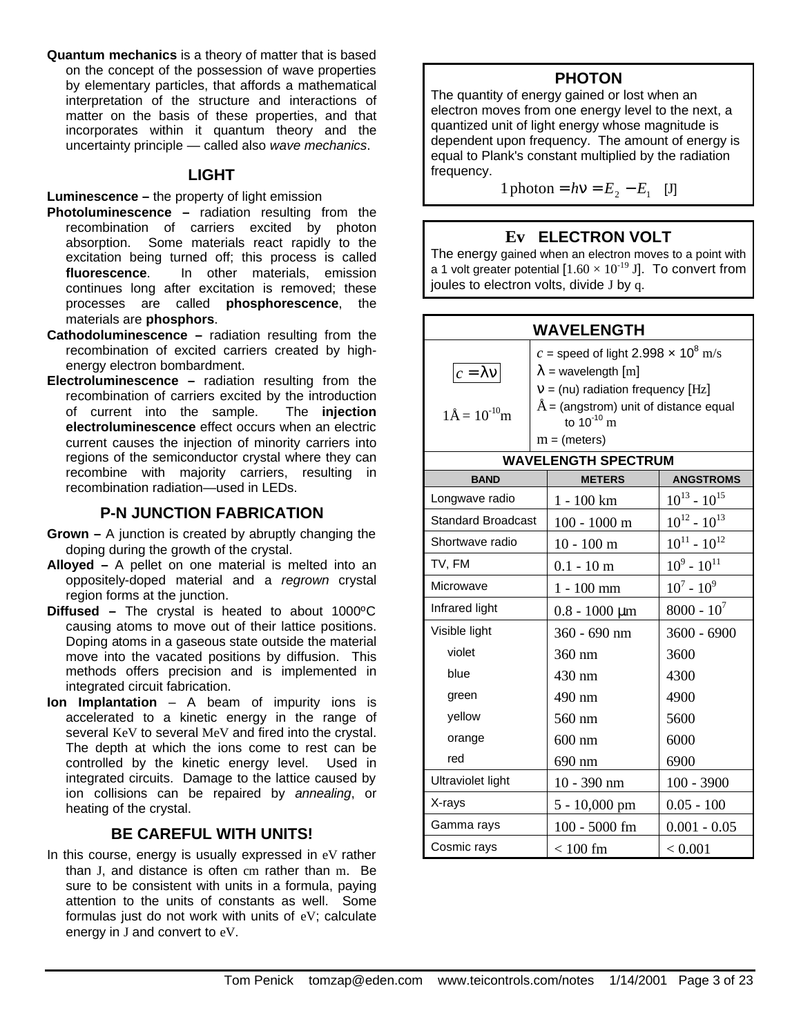**Quantum mechanics** is a theory of matter that is based on the concept of the possession of wave properties by elementary particles, that affords a mathematical interpretation of the structure and interactions of matter on the basis of these properties, and that incorporates within it quantum theory and the uncertainty principle — called also *wave mechanics*.

#### **LIGHT**

#### **Luminescence –** the property of light emission

- **Photoluminescence –** radiation resulting from the recombination of carriers excited by photon absorption. Some materials react rapidly to the excitation being turned off; this process is called **fluorescence**. In other materials, emission continues long after excitation is removed; these processes are called **phosphorescence**, the materials are **phosphors**.
- **Cathodoluminescence –** radiation resulting from the recombination of excited carriers created by highenergy electron bombardment.
- **Electroluminescence –** radiation resulting from the recombination of carriers excited by the introduction of current into the sample. The **injection electroluminescence** effect occurs when an electric current causes the injection of minority carriers into regions of the semiconductor crystal where they can recombine with majority carriers, resulting in recombination radiation—used in LEDs.

### **P-N JUNCTION FABRICATION**

- **Grown –** A junction is created by abruptly changing the doping during the growth of the crystal.
- **Alloyed –** A pellet on one material is melted into an oppositely-doped material and a *regrown* crystal region forms at the junction.
- **Diffused –** The crystal is heated to about 1000ºC causing atoms to move out of their lattice positions. Doping atoms in a gaseous state outside the material move into the vacated positions by diffusion. This methods offers precision and is implemented in integrated circuit fabrication.
- **Ion Implantation** A beam of impurity ions is accelerated to a kinetic energy in the range of several KeV to several MeV and fired into the crystal. The depth at which the ions come to rest can be controlled by the kinetic energy level. Used in integrated circuits. Damage to the lattice caused by ion collisions can be repaired by *annealing*, or heating of the crystal.

### **BE CAREFUL WITH UNITS!**

In this course, energy is usually expressed in eV rather than J, and distance is often cm rather than m. Be sure to be consistent with units in a formula, paying attention to the units of constants as well. Some formulas just do not work with units of eV; calculate energy in J and convert to eV.

### **PHOTON**

The quantity of energy gained or lost when an electron moves from one energy level to the next, a quantized unit of light energy whose magnitude is dependent upon frequency. The amount of energy is equal to Plank's constant multiplied by the radiation frequency.

1 photon =  $h\nu = E_2 - E_1$  [J]

### **Ev ELECTRON VOLT**

The energy gained when an electron moves to a point with a 1 volt greater potential  $[1.60 \times 10^{-19}$  J]. To convert from joules to electron volts, divide J by q.

| <b>WAVELENGTH</b>                 |                                                       |                                                              |                     |
|-----------------------------------|-------------------------------------------------------|--------------------------------------------------------------|---------------------|
|                                   | c = speed of light 2.998 $\times$ 10 <sup>8</sup> m/s |                                                              |                     |
| $c = \lambda v$                   | $\lambda$ = wavelength [m]                            |                                                              |                     |
|                                   |                                                       | $v = (nu)$ radiation frequency [Hz]                          |                     |
| $1\text{\AA} = 10^{-10} \text{m}$ |                                                       | $\AA$ = (angstrom) unit of distance equal<br>to $10^{-10}$ m |                     |
|                                   |                                                       | $m = (meters)$                                               |                     |
|                                   |                                                       | <b>WAVELENGTH SPECTRUM</b>                                   |                     |
| <b>BAND</b>                       |                                                       | <b>METERS</b>                                                | <b>ANGSTROMS</b>    |
| Longwave radio                    |                                                       | $1 - 100$ km                                                 | $10^{13} - 10^{15}$ |
| <b>Standard Broadcast</b>         |                                                       | $100 - 1000$ m                                               | $10^{12} - 10^{13}$ |
| Shortwave radio                   |                                                       | $10 - 100$ m                                                 | $10^{11} - 10^{12}$ |
| TV, FM                            |                                                       | $0.1 - 10 \text{ m}$                                         | $10^9 \t- 10^{11}$  |
| Microwave                         |                                                       | $1 - 100$ mm                                                 | $10^7 - 10^9$       |
| Infrared light                    |                                                       | $0.8 - 1000 \mu m$                                           | $8000 - 10^{7}$     |
| Visible light                     |                                                       | 360 - 690 nm                                                 | $3600 - 6900$       |
| violet                            |                                                       | 360 nm                                                       | 3600                |
| blue                              |                                                       | 430 nm                                                       | 4300                |
| green                             |                                                       | 490 nm                                                       | 4900                |
| yellow                            |                                                       | 560 nm                                                       | 5600                |
| orange                            |                                                       | $600$ nm                                                     | 6000                |
| red                               |                                                       | 690 nm                                                       | 6900                |
| <b>Ultraviolet light</b>          |                                                       | 10 - 390 nm                                                  | $100 - 3900$        |
| X-rays                            |                                                       | 5 - 10,000 pm                                                | $0.05 - 100$        |
| Gamma rays                        |                                                       | $100 - 5000$ fm                                              | $0.001 - 0.05$      |
| Cosmic rays                       |                                                       | $< 100$ fm                                                   | < 0.001             |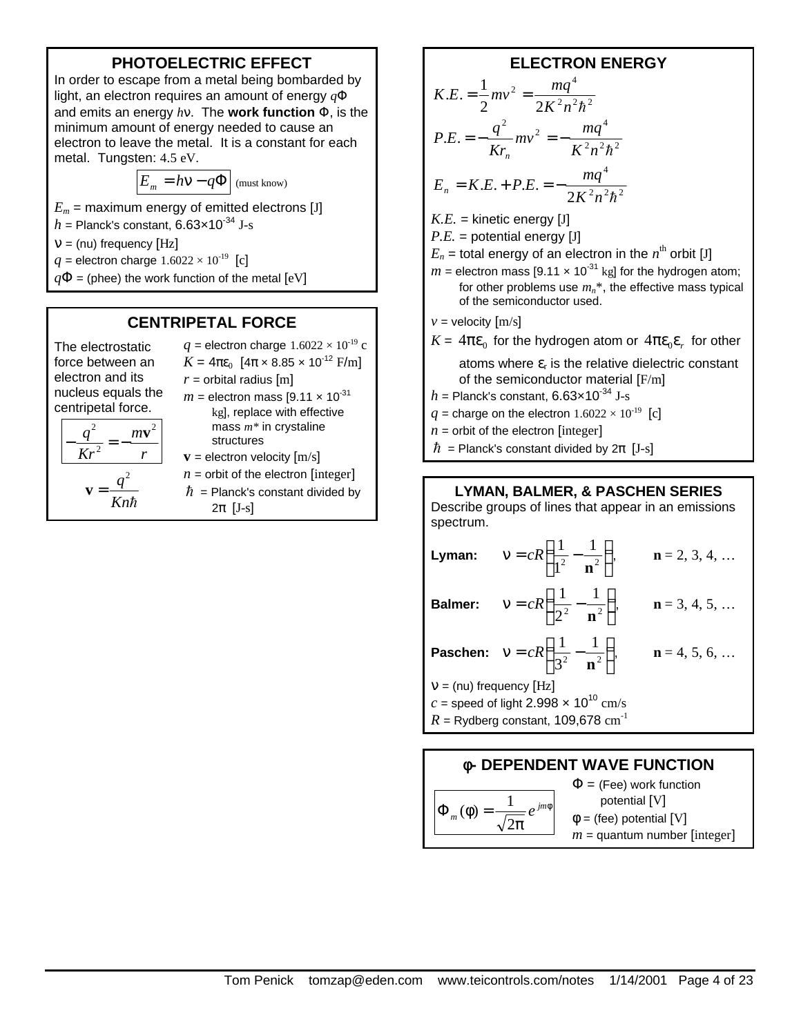# **PHOTOELECTRIC EFFECT**

In order to escape from a metal being bombarded by light, an electron requires an amount of energy *q*Φ and emits an energy *h*ν. The **work function** Φ, is the minimum amount of energy needed to cause an electron to leave the metal. It is a constant for each metal. Tungsten: 4.5 eV.

$$
E_m = h \mathbf{V} - q \mathbf{\Phi}
$$
 (must know)

- $E_m$  = maximum energy of emitted electrons [J]
- $h =$  Planck's constant, 6.63 $\times$ 10<sup>-34</sup> J-s

 $v = (nu)$  frequency [Hz]

*q* = electron charge  $1.6022 \times 10^{-19}$  [c]

*r*  $m$ **v**<sup>2</sup>

 $q^2$ *Kn*

h

 $q\Phi$  = (phee) the work function of the metal  $[eV]$ 

# **CENTRIPETAL FORCE**

The electrostatic force between an electron and its nucleus equals the centripetal force.

> *Kr q* 2 2  $-\frac{q}{\sqrt{2}} = -$

> > $\mathbf{v} =$

 $K = 4\pi\epsilon_0$  [ $4\pi \times 8.85 \times 10^{-12}$  F/m]  $r =$  orbital radius  $[m]$  $m =$  electron mass [9.11  $\times$  10<sup>-31</sup> kg], replace with effective mass *m\** in crystaline structures  **= electron velocity**  $[m/s]$ 

- $n =$  orbit of the electron [integer]
- $\hbar$  = Planck's constant divided by  $2\pi$  [J-s]

*q* = electron charge  $1.6022 \times 10^{-19}$  c

# **ELECTRON ENERGY**

$$
K.E. = \frac{1}{2}mv^2 = \frac{mq^4}{2K^2n^2\hbar^2}
$$
  
\n
$$
P.E. = -\frac{q^2}{Kr_n}mv^2 = -\frac{mq^4}{K^2n^2\hbar^2}
$$
  
\n
$$
E_n = K.E. + P.E. = -\frac{mq^4}{2K^2n^2\hbar^2}
$$
  
\n
$$
K.E. = \text{kinetic energy [J]}
$$

 $P.E.$  = potential energy [J]

- $E_n$  = total energy of an electron in the  $n^{\rm th}$  orbit [J]
- $m =$  electron mass [9.11  $\times$  10<sup>-31</sup> kg] for the hydrogen atom; for other problems use  $m_n^*$ , the effective mass typical of the semiconductor used.

 $v =$  velocity  $[m/s]$ 

 $K = 4\pi\varepsilon_0$  for the hydrogen atom or  $4\pi\varepsilon_0\varepsilon_r$  for other atoms where  $\varepsilon_r$  is the relative dielectric constant

of the semiconductor material [F/m]  $h =$  Planck's constant, 6.63 $\times$ 10<sup>-34</sup> J-s

- *q* = charge on the electron  $1.6022 \times 10^{-19}$  [c]
- $n =$  orbit of the electron [integer]
- $\hbar$  = Planck's constant divided by  $2\pi$  [J-s]

### **LYMAN, BALMER, & PASCHEN SERIES**

Describe groups of lines that appear in an emissions spectrum.

|                           | <b>Lyman:</b> $v = cR\left(\frac{1}{1^2} - \frac{1}{n^2}\right)$ ,  | $n = 2, 3, 4, $ |
|---------------------------|---------------------------------------------------------------------|-----------------|
|                           | <b>Balmer:</b> $v = cR\left(\frac{1}{2^2} - \frac{1}{n^2}\right)$ , | $n = 3, 4, 5, $ |
|                           | <b>Paschen:</b> $v = cR\left(\frac{1}{3^2} - \frac{1}{n^2}\right)$  | $n = 4, 5, 6, $ |
| $V = (nu)$ frequency [Hz] |                                                                     |                 |
|                           | c = speed of light 2.998 $\times$ 10 <sup>10</sup> cm/s             |                 |

 $R =$  Rydberg constant, 109,678 cm<sup>-1</sup>

# **f- DEPENDENT WAVE FUNCTION**

$$
\Phi_m(\phi) = \frac{1}{\sqrt{2\pi}} e^{jm\phi}
$$

 $\Phi$  = (Fee) work function potential [V]  $\phi$  = (fee) potential [V]  $m =$  quantum number [integer]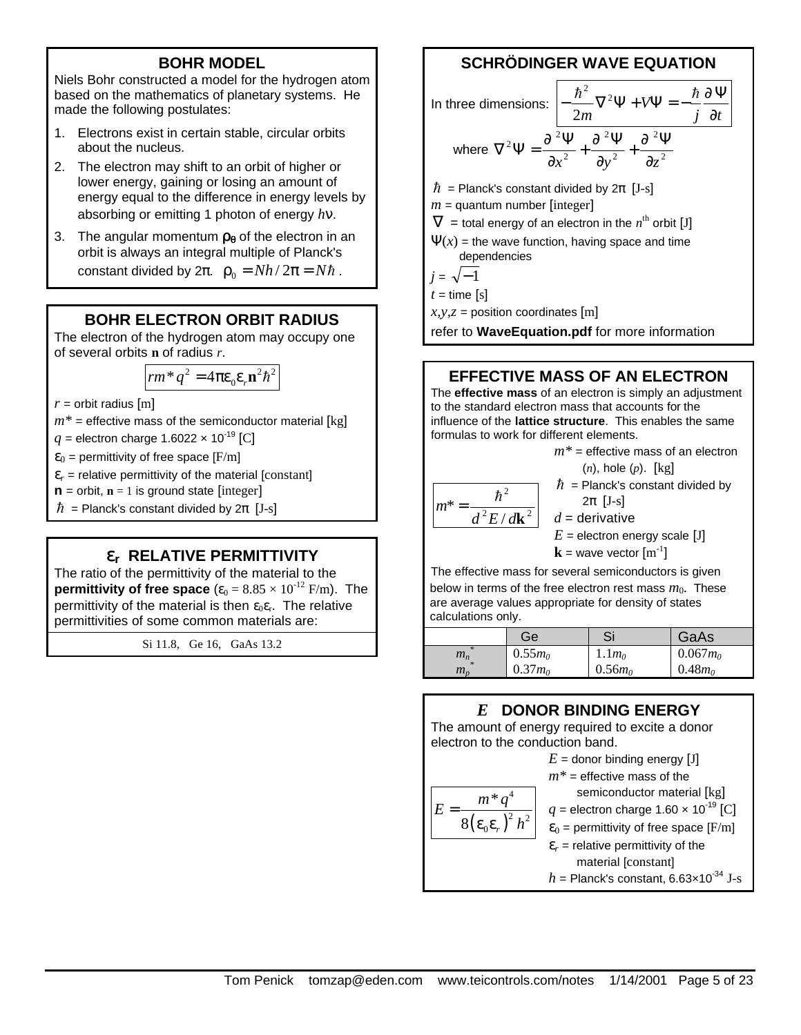### **BOHR MODEL**

Niels Bohr constructed a model for the hydrogen atom based on the mathematics of planetary systems. He made the following postulates:

- 1. Electrons exist in certain stable, circular orbits about the nucleus.
- 2. The electron may shift to an orbit of higher or lower energy, gaining or losing an amount of energy equal to the difference in energy levels by absorbing or emitting 1 photon of energy *h*ν.
- 3. The angular momentum **rq** of the electron in an orbit is always an integral multiple of Planck's constant divided by  $2\pi$ .  $\rho_0 = Nh/2\pi = Nh$ .

### **BOHR ELECTRON ORBIT RADIUS**

The electron of the hydrogen atom may occupy one of several orbits **n** of radius *r*.

$$
rm^*q^2 = 4\pi \varepsilon_0 \varepsilon_r \mathbf{n}^2 \hbar^2
$$

 $r =$  orbit radius  $[m]$ 

 $m^*$  = effective mass of the semiconductor material  $\lceil \text{kg} \rceil$ 

 $q =$  electron charge 1.6022  $\times$  10<sup>-19</sup> [C]

 $\varepsilon_0$  = permittivity of free space [F/m]

 $\varepsilon_r$  = relative permittivity of the material [constant]

 $\mathbf{n}$  = orbit,  $\mathbf{n}$  = 1 is ground state [integer]

 $\hbar$  = Planck's constant divided by  $2\pi$  [J-s]

# **er RELATIVE PERMITTIVITY**

The ratio of the permittivity of the material to the **permittivity of free space** ( $\varepsilon_0 = 8.85 \times 10^{-12}$  F/m). The permittivity of the material is then  $\varepsilon_0 \varepsilon_r$ . The relative permittivities of some common materials are:

Si 11.8, Ge 16, GaAs 13.2

# **SCHRÖDINGER WAVE EQUATION**

In three dimensions: 
$$
\frac{\hbar^2}{2m} \nabla^2 \Psi + V \Psi = -\frac{\hbar}{j} \frac{\partial \Psi}{\partial t}
$$
where 
$$
\nabla^2 \Psi = \frac{\partial^2 \Psi}{\partial x^2} + \frac{\partial^2 \Psi}{\partial y^2} + \frac{\partial^2 \Psi}{\partial z^2}
$$
  
\n
$$
\hbar = \text{Planck's constant divided by } 2\pi \text{ [J-s]}
$$
  
\n
$$
m = \text{quantum number [integer]}
$$
  
\n
$$
\nabla = \text{total energy of an electron in the } n^{\text{th}} \text{ orbit [J]}
$$
  
\n
$$
\Psi(x) = \text{the wave function, having space and time}
$$
  
\ndependencies  
\n
$$
j = \sqrt{-1}
$$
  
\n
$$
t = \text{time [s]}
$$

 $x, y, z$  = position coordinates [m]

refer to **WaveEquation.pdf** for more information

#### **EFFECTIVE MASS OF AN ELECTRON**

The **effective mass** of an electron is simply an adjustment to the standard electron mass that accounts for the influence of the **lattice structure**. This enables the same formulas to work for different elements.

 $d^2E/d\mathbf{k}^2$  $\hbar^2$  $m^* =$ 

*m\** = effective mass of an electron (*n*), hole (*p*). [kg]  $\hbar$  = Planck's constant divided by

$$
2\pi\,[J-s]
$$

*d* = derivative

 $E =$  electron energy scale [J]

 $\mathbf{k}$  = wave vector  $[\text{m}^{\text{-}1}]$ 

The effective mass for several semiconductors is given below in terms of the free electron rest mass  $m_0$ . These are average values appropriate for density of states calculations only.

|                                             | Ge        | Si        | GaAs       |
|---------------------------------------------|-----------|-----------|------------|
| $2\mathrm{k}$<br>$m_n$                      | $0.55m_0$ | $1.1m_0$  | $0.067m_0$ |
| $\frac{1}{2}$<br>$m_{\scriptscriptstyle n}$ | $0.37m_0$ | $0.56m_0$ | $0.48m_0$  |

### *E* **DONOR BINDING ENERGY**

The amount of energy required to excite a donor electron to the conduction band.

$$
E = \text{donor binding energy [J]}
$$
\n
$$
m^* = \text{effective mass of the semiconductor material [kg]}
$$
\n
$$
E = \frac{m^* q^4}{8(\epsilon_0 \epsilon_r)^2 h^2}
$$
\n
$$
q = \text{electron charge } 1.60 \times 10^{-19} \text{ [C]}
$$
\n
$$
\epsilon_0 = \text{permittivity of free space [F/m]}
$$
\n
$$
\epsilon_r = \text{relative permittivity of the material [constant]}
$$
\n
$$
h = \text{Planck's constant, } 6.63 \times 10^{-34} \text{ J-s}
$$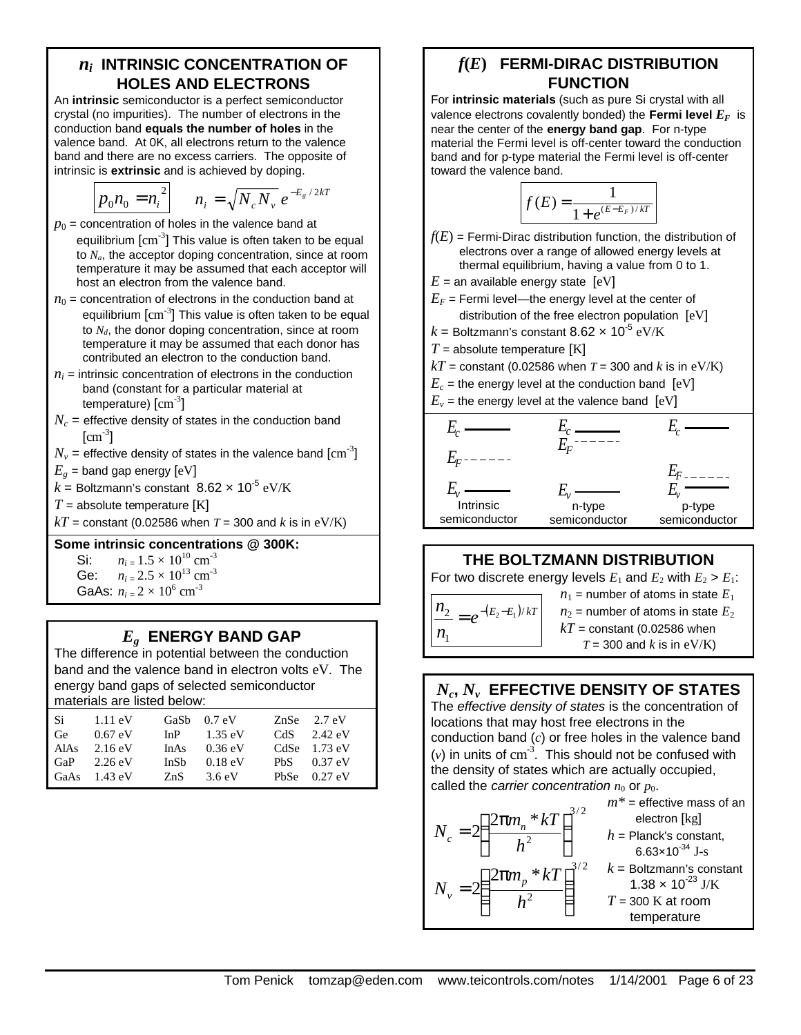### *ni* **INTRINSIC CONCENTRATION OF HOLES AND ELECTRONS**

An **intrinsic** semiconductor is a perfect semiconductor crystal (no impurities). The number of electrons in the conduction band **equals the number of holes** in the valence band. At 0K, all electrons return to the valence band and there are no excess carriers. The opposite of intrinsic is **extrinsic** and is achieved by doping.

$$
p_0 n_0 = n_i^2 \qquad n_i = \sqrt{N_c N_v} \, e^{-E_g / 2kT}
$$

- $p_0$  = concentration of holes in the valence band at equilibrium  $\text{[cm$^{-3}$]}$  This value is often taken to be equal to *Na*, the acceptor doping concentration, since at room temperature it may be assumed that each acceptor will host an electron from the valence band.
- $n_0$  = concentration of electrons in the conduction band at equilibrium  $\text{[cm$^{-3}$]}$  This value is often taken to be equal to *Nd*, the donor doping concentration, since at room temperature it may be assumed that each donor has contributed an electron to the conduction band.
- $n_i$  = intrinsic concentration of electrons in the conduction band (constant for a particular material at temperature)  $\rm[cm^{3}]$
- $N_c$  = effective density of states in the conduction band  $[\text{cm}^{\text{-3}}]$
- $N_{\rm \scriptscriptstyle V}$  = effective density of states in the valence band  $\rm [cm^{-3}]$
- $E_g$  = band gap energy  $[eV]$
- $k$  = Boltzmann's constant  $8.62 \times 10^{-5} \ \mathrm{eV/K}$
- $T =$  absolute temperature  $[K]$
- $kT$  = constant (0.02586 when *T* = 300 and *k* is in eV/K)

#### **Some intrinsic concentrations @ 300K:**

Si:  $n_{i} = 1.5 \times 10^{10} \text{ cm}^{-3}$ <br>Ge:  $n_{i} = 2.5 \times 10^{13} \text{ cm}^{-3}$ 

- $n_i = 2.5 \times 10^{13}$  cm<sup>-3</sup>
- GaAs:  $n_{i} = 2 \times 10^{6}$  cm<sup>-3</sup>

# *Eg* **ENERGY BAND GAP**

The difference in potential between the conduction band and the valence band in electron volts eV. The energy band gaps of selected semiconductor materials are listed below:

| $1.11 \text{ eV}$      |             |                   |               | $ZnSe$ 2.7 eV         |
|------------------------|-------------|-------------------|---------------|-----------------------|
| $0.67$ eV              | InP         | $1.35 \text{ eV}$ |               | CdS $2.42 \text{ eV}$ |
| $2.16 \text{ eV}$      | InAs        | $0.36 \text{ eV}$ |               | CdSe $1.73$ eV        |
| $2.26 \text{ eV}$      | <b>InSh</b> | $0.18 \text{ eV}$ |               | PbS $0.37 \text{ eV}$ |
| GaAs $1.43 \text{ eV}$ | ZnS         | 3.6eV             |               | PbSe $0.27$ eV        |
|                        |             |                   | GaSb $0.7$ eV |                       |

# *f***(***E***) FERMI-DIRAC DISTRIBUTION FUNCTION**

For **intrinsic materials** (such as pure Si crystal with all valence electrons covalently bonded) the Fermi level  $E_F$  is near the center of the **energy band gap**. For n-type material the Fermi level is off-center toward the conduction band and for p-type material the Fermi level is off-center toward the valence band.

$$
f(E) = \frac{1}{1 + e^{(E - E_F)/kT}}
$$

 $f(E)$  = Fermi-Dirac distribution function, the distribution of electrons over a range of allowed energy levels at thermal equilibrium, having a value from 0 to 1.

 $E =$  an available energy state  $[eV]$ 

- $E_F$  = Fermi level—the energy level at the center of distribution of the free electron population [eV]
- $k$  = Boltzmann's constant 8.62  $\times$  10<sup>-5</sup> eV/K
- $T =$  absolute temperature  $[K]$
- $kT$  = constant (0.02586 when *T* = 300 and *k* is in eV/K)
- $E_c$  = the energy level at the conduction band  $[eV]$
- $E_v$  = the energy level at the valence band  $[eV]$



# **THE BOLTZMANN DISTRIBUTION**

For two discrete energy levels  $E_1$  and  $E_2$  with  $E_2 > E_1$ :

 $\frac{n_2}{2} = e^{-(E_2 - E_1)/kT}$  $n_{1}$ 

 $n_1$  = number of atoms in state  $E_1$  $n_2$  = number of atoms in state  $E_2$  $kT$  = constant (0.02586 when  $T = 300$  and *k* is in eV/K)

# $N_c,N_\nu$  EFFECTIVE DENSITY OF STATES

The *effective density of states* is the concentration of locations that may host free electrons in the conduction band (*c*) or free holes in the valence band  $(v)$  in units of  $cm^{-3}$ . This should not be confused with the density of states which are actually occupied, called the *carrier concentration*  $n_0$  or  $p_0$ .

$$
N_c = 2 \left( \frac{2 \pi m_n * kT}{h^2} \right)^{3/2}
$$
  
\n
$$
m^* = \text{effective mass of an electron [kg]}_{\text{electron [kg]}}
$$
  
\n
$$
h = \text{Planck's constant,}
$$
  
\n
$$
6.63 \times 10^{-34} \text{ J-s}
$$
  
\n
$$
N_v = 2 \left( \frac{2 \pi m_p * kT}{h^2} \right)^{3/2}
$$
  
\n
$$
k = \text{Boltzmann's constant}
$$
  
\n1.38 × 10<sup>-23</sup> J/K  
\n
$$
T = 300 \text{ K at room}
$$
  
\ntemperature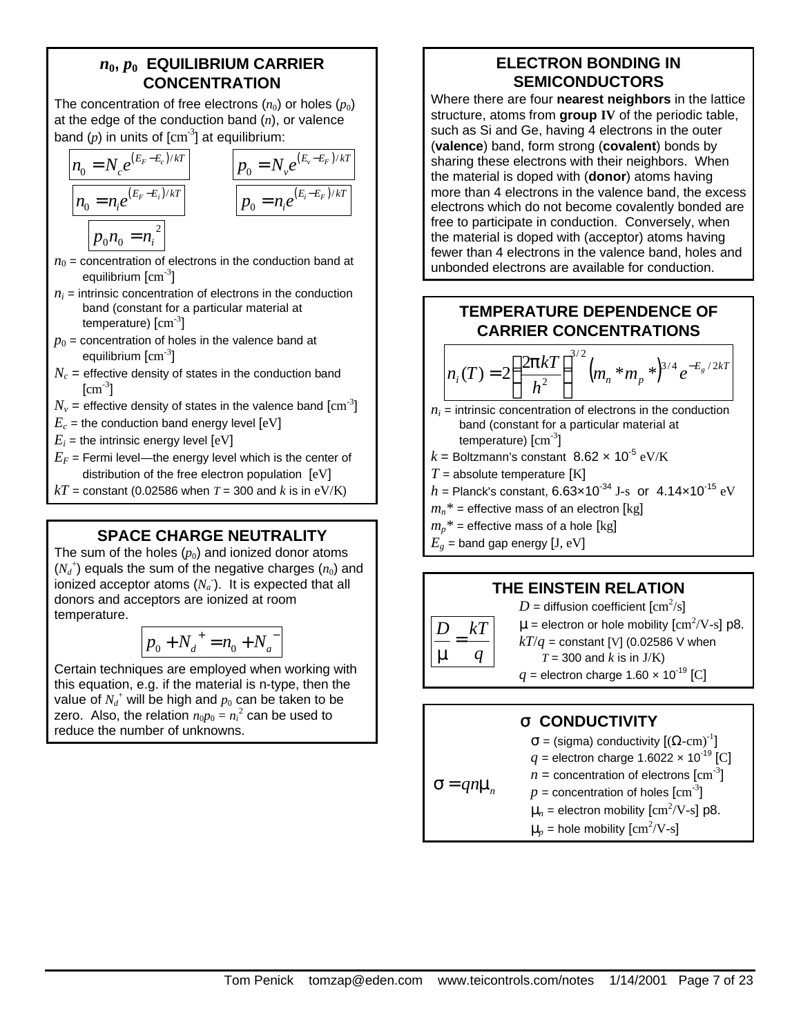### $n_0, p_0$  EQUILIBRIUM CARRIER **CONCENTRATION**

The concentration of free electrons  $(n_0)$  or holes  $(p_0)$ at the edge of the conduction band (*n*), or valence band  $(p)$  in units of  $[cm^3]$  at equilibrium:

$$
\frac{n_0 = N_c e^{(E_F - E_c)/kT}}{n_0 = n_i e^{(E_F - E_i)/kT}}
$$
\n
$$
p_0 n_0 = n_i^2
$$
\n
$$
p_0 n_0 = n_i^2
$$

- $n_0$  = concentration of electrons in the conduction band at equilibrium  $\rm[cm^{-3}]$
- $n_i$  = intrinsic concentration of electrons in the conduction band (constant for a particular material at temperature)  $\rm[cm^{\text{-3}}]$
- $p_0$  = concentration of holes in the valence band at equilibrium  $\rm[cm^{-3}]$
- $N_c$  = effective density of states in the conduction band  $[\text{cm}^{\text{-3}}]$
- $N_{\rm \scriptscriptstyle V}$  = effective density of states in the valence band  $\rm[cm^{3}]$
- $E_c$  = the conduction band energy level  $[eV]$
- $E_i$  = the intrinsic energy level  $[eV]$
- $E_F$  = Fermi level—the energy level which is the center of distribution of the free electron population [eV]
- $kT$  = constant (0.02586 when *T* = 300 and *k* is in eV/K)

# **SPACE CHARGE NEUTRALITY**

The sum of the holes  $(p_0)$  and ionized donor atoms  $(N_d^+)$  equals the sum of the negative charges  $(n_0)$  and ionized acceptor atoms  $(N_a)$ . It is expected that all donors and acceptors are ionized at room temperature.

$$
p_0 + N_d^+ = n_0 + N_a^-
$$

Certain techniques are employed when working with this equation, e.g. if the material is n-type, then the value of  $N_d^+$  will be high and  $p_0$  can be taken to be zero. Also, the relation  $n_0p_0 = n_i^2$  can be used to reduce the number of unknowns.

# **ELECTRON BONDING IN SEMICONDUCTORS**

Where there are four **nearest neighbors** in the lattice structure, atoms from **group IV** of the periodic table, such as Si and Ge, having 4 electrons in the outer (**valence**) band, form strong (**covalent**) bonds by sharing these electrons with their neighbors. When the material is doped with (**donor**) atoms having more than 4 electrons in the valence band, the excess electrons which do not become covalently bonded are free to participate in conduction. Conversely, when the material is doped with (acceptor) atoms having fewer than 4 electrons in the valence band, holes and unbonded electrons are available for conduction.

# **TEMPERATURE DEPENDENCE OF CARRIER CONCENTRATIONS**

$$
n_i(T) = 2\left(\frac{2pkT}{h^2}\right)^{3/2} (m_n * m_p * )^{3/4} e^{-E_g/2kT}
$$

- $n_i$  = intrinsic concentration of electrons in the conduction band (constant for a particular material at temperature)  $\rm[cm^{3}]$
- $k$  = Boltzmann's constant  $8.62 \times 10^{-5} \text{ eV/K}$
- $T =$  absolute temperature  $[K]$
- $h =$  Planck's constant, 6.63×10<sup>-34</sup> J-s or 4.14×10<sup>-15</sup> eV
- $m_n^*$  = effective mass of an electron [kg]
- $m_p^*$  = effective mass of a hole [kg]
- $E_g$  = band gap energy [J, eV]

# **THE EINSTEIN RELATION**



# **s CONDUCTIVITY**

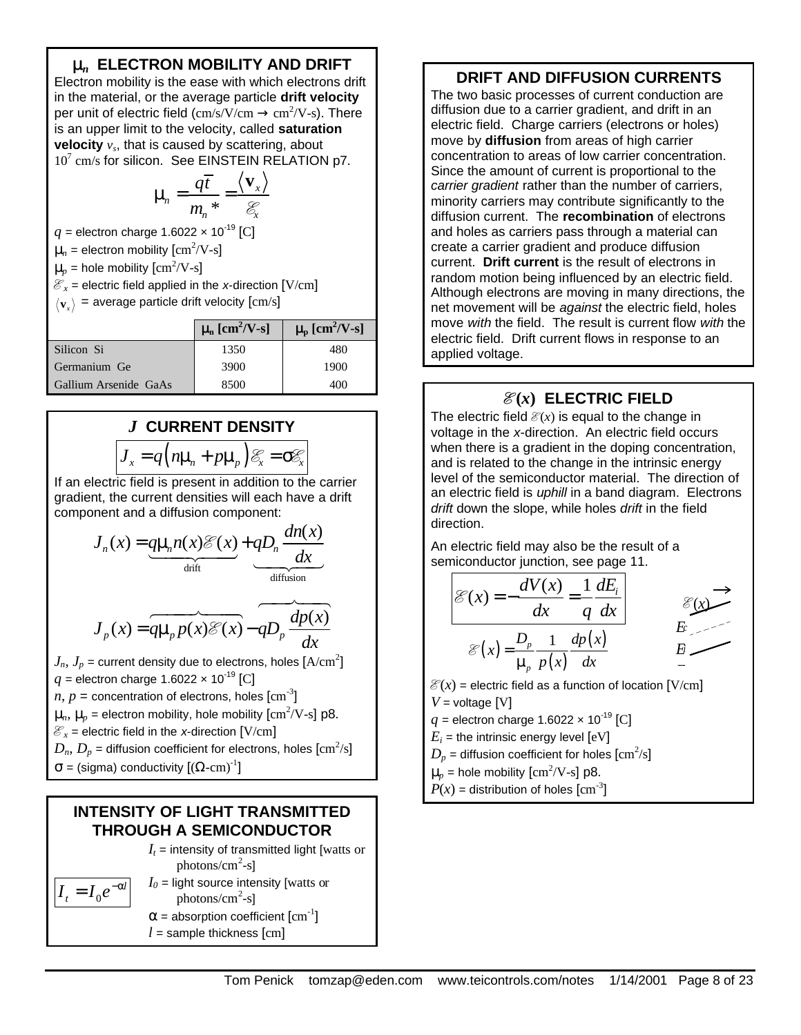# **m***n* **ELECTRON MOBILITY AND DRIFT**

Electron mobility is the ease with which electrons drift in the material, or the average particle **drift velocity** per unit of electric field  $\text{(cm/s/V/cm} \rightarrow \text{cm}^2/\text{V-s})$ . There is an upper limit to the velocity, called **saturation velocity** *v<sup>s</sup>* , that is caused by scattering, about 10<sup>7</sup> cm/s for silicon. See EINSTEIN RELATION p7.

$$
\mu_n = \frac{q\overline{t}}{m_n^*} = \frac{\langle \mathbf{v}_x \rangle}{\mathcal{E}_x}
$$

 $q =$  electron charge 1.6022  $\times$  10<sup>-19</sup> [C]

 $\mu_n$  = electron mobility  $\text{[cm}^2\text{/V-s]}$ 

 $\mu_p$  = hole mobility  $\text{[cm}^2/\text{V-s}\text{]}$ 

 $\mathcal{E}_x$  = electric field applied in the *x*-direction [V/cm]

 $\mathbf{v}_{{\scriptscriptstyle \chi}} \rangle$  = average particle drift velocity [cm/s]

|                       | $m \text{ [cm}^2/\text{V-s]}$ | $m \text{ [cm}^2/\text{V-s]}$ |
|-----------------------|-------------------------------|-------------------------------|
| Silicon Si            | 1350                          | 480                           |
| Germanium Ge          | 3900                          | 1900                          |
| Gallium Arsenide GaAs | 8500                          | 40O                           |

# *J* **CURRENT DENSITY**

$$
J_x = q\left(n\mu_n + p\mu_p\right)\mathcal{E}_x = \sigma\mathcal{E}_x
$$

If an electric field is present in addition to the carrier gradient, the current densities will each have a drift component and a diffusion component:

$$
J_n(x) = \underbrace{q\mu_n n(x)\mathcal{E}(x)}_{\text{drift}} + \underbrace{qD_n \frac{dn(x)}{dx}}_{\text{diffusion}}
$$

$$
J_p(x) = \underbrace{q\mu_p p(x)\mathcal{E}(x)} - \underbrace{qD_p \frac{dp(x)}{dx}}
$$

 $J_n, \, J_p$  = current density due to electrons, holes  $\rm{[A/cm^2]}$  $q =$  electron charge 1.6022  $\times$  10<sup>-19</sup> [C]  $n, p =$  concentration of electrons, holes  $\text{[cm}^{\text{-3}}\text{]}$  $\mu_n$ ,  $\mu_p$  = electron mobility, hole mobility  $\text{[cm}^2\text{/V-s]}$  p8.  $\mathcal{E}_x$  = electric field in the *x*-direction [V/cm]  $D_n, \, D_p$  = diffusion coefficient for electrons, holes  $[\rm{cm^2/s}]$  $\sigma$  = (sigma) conductivity  $[(\Omega$ -cm)<sup>-1</sup>]

### **INTENSITY OF LIGHT TRANSMITTED THROUGH A SEMICONDUCTOR**

 $I_t$  = intensity of transmitted light [watts or  $photons/cm<sup>2</sup>-s$ ]

$$
I_t = I_0 e^{-\alpha t}
$$

 $I_0$  = light source intensity [watts or photons/cm<sup>2</sup>-s]

 $\alpha$  = absorption coefficient  $\text{[cm}^{-1}\text{]}$  $l =$  sample thickness  $\lceil$ cm $\rceil$ 

### **DRIFT AND DIFFUSION CURRENTS**

The two basic processes of current conduction are diffusion due to a carrier gradient, and drift in an electric field. Charge carriers (electrons or holes) move by **diffusion** from areas of high carrier concentration to areas of low carrier concentration. Since the amount of current is proportional to the *carrier gradient* rather than the number of carriers, minority carriers may contribute significantly to the diffusion current. The **recombination** of electrons and holes as carriers pass through a material can create a carrier gradient and produce diffusion current. **Drift current** is the result of electrons in random motion being influenced by an electric field. Although electrons are moving in many directions, the net movement will be *against* the electric field, holes move *with* the field. The result is current flow *with* the electric field. Drift current flows in response to an applied voltage.

# $\mathcal{E}(x)$  **ELECTRIC FIELD**

The electric field  $\mathcal{E}(x)$  is equal to the change in voltage in the *x*-direction. An electric field occurs when there is a gradient in the doping concentration, and is related to the change in the intrinsic energy level of the semiconductor material. The direction of an electric field is *uphill* in a band diagram. Electrons *drift* down the slope, while holes *drift* in the field direction.

An electric field may also be the result of a semiconductor junction, see page 11.

$$
\mathcal{E}(x) = -\frac{dV(x)}{dx} = \frac{1}{q}\frac{dE_i}{dx}
$$
  

$$
\mathcal{E}(x) = \frac{D_p}{\mu_p}\frac{1}{p(x)}\frac{dp(x)}{dx}
$$
  

$$
E = -\frac{E}{x}
$$

 $\mathcal{E}(x)$  = electric field as a function of location  $[\mathrm{V/cm}]$ *V* = voltage [V]

 $q$  = electron charge 1.6022  $\times$  10<sup>-19</sup> [C]

 $E_i$  = the intrinsic energy level  $[eV]$ 

 $D_p$  = diffusion coefficient for holes  $\rm[cm^2/s]$ 

$$
\mu_p = \text{hole mobility [cm}^2/\text{V-s}] \text{ p8.}
$$

$$
P(x) = \text{distribution of holes [cm}^{-3}]
$$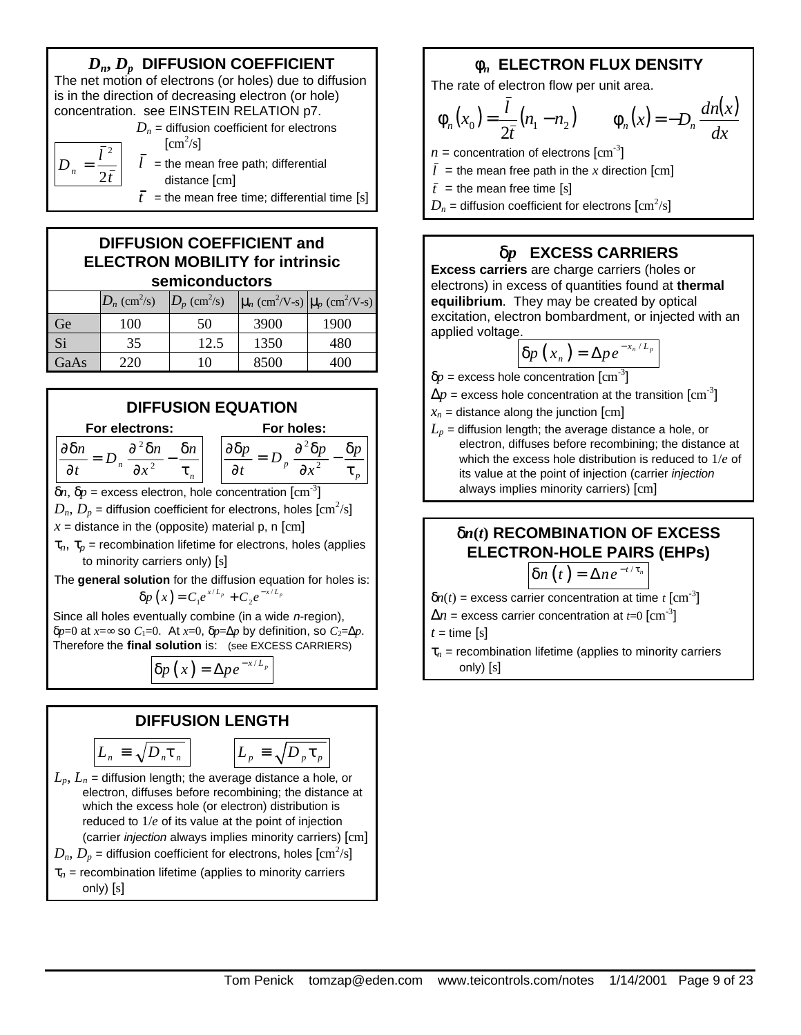# *Dn***,** *Dp* **DIFFUSION COEFFICIENT**

The net motion of electrons (or holes) due to diffusion is in the direction of decreasing electron (or hole) concentration. see EINSTEIN RELATION p7.

> *t l*

2

2

=

*Dn*



 $\bar{t}$  = the mean free time; differential time [s]

# **DIFFUSION COEFFICIENT and ELECTRON MOBILITY for intrinsic semiconductors**

|                | $D_n$ (cm <sup>2</sup> /s) | $D_p$ (cm <sup>2</sup> /s) | $\left \mu_n\right.$ (cm <sup>2</sup> /V-s) $\left \mu_n\right.$ (cm <sup>2</sup> /V-s) |      |
|----------------|----------------------------|----------------------------|-----------------------------------------------------------------------------------------|------|
| Ge             | 100                        | 50                         | 3900                                                                                    | 1900 |
| Si <sup></sup> | 35                         | 12.5                       | 1350                                                                                    | 480  |
| GaAs           | 220                        | 10                         | 8500                                                                                    | 400  |



 $δp=0$  at *x*=∞ so *C*<sub>1</sub>=0. At *x*=0,  $δp=Δp$  by definition, so *C*<sub>2</sub>=Δ*p*. Therefore the **final solution** is: (see EXCESS CARRIERS)

$$
\boxed{\delta p\left(x\right)=\Delta p\,e^{-x/L_p}}
$$

### **DIFFUSION LENGTH**

$$
L_n \equiv \sqrt{D_n \mathbf{t}_n}
$$
 
$$
L_p \equiv \sqrt{D_p \tau_p}
$$

$$
L_p \equiv \sqrt{D_p \tau_p}
$$

- $L_p$ ,  $L_n$  = diffusion length; the average distance a hole, or electron, diffuses before recombining; the distance at which the excess hole (or electron) distribution is reduced to 1/*e* of its value at the point of injection (carrier *injection* always implies minority carriers) [cm]  $D_n, \, D_p$  = diffusion coefficient for electrons, holes  $[\rm{cm^2/s}]$
- τ*<sup>n</sup>* = recombination lifetime (applies to minority carriers only) [s]

# **f***n* **ELECTRON FLUX DENSITY**

The rate of electron flow per unit area.

$$
\phi_n(x_0) = \frac{\bar{l}}{2\bar{t}}(n_1 - n_2) \qquad \phi_n(x) = -D_n \frac{dn(x)}{dx}
$$

- $n =$  concentration of electrons  $\text{[cm}^{-3}\text{]}$
- $l =$  the mean free path in the x direction [cm]

 $\bar{t}$  = the mean free time [s]

 $D_n$  = diffusion coefficient for electrons  $\rm[cm^2/s]$ 

# **d***p* **EXCESS CARRIERS**

**Excess carriers** are charge carriers (holes or electrons) in excess of quantities found at **thermal equilibrium**. They may be created by optical excitation, electron bombardment, or injected with an applied voltage.

$$
\delta p(x_n) = \Delta p e^{-x_n/L_p}
$$

- $\delta p$  = excess hole concentration  $\text{[cm}^{-3}\text{]}$
- $\Delta p$  = excess hole concentration at the transition  $\mathrm{[cm^{-3}]}$
- $x_n$  = distance along the junction  $[cm]$
- $L_p$  = diffusion length; the average distance a hole, or electron, diffuses before recombining; the distance at which the excess hole distribution is reduced to 1/*e* of its value at the point of injection (carrier *injection* always implies minority carriers) [cm]

# **d***n***(***t***) RECOMBINATION OF EXCESS ELECTRON-HOLE PAIRS (EHPs)**

$$
\delta n(t)=\Delta n e^{-t/\tau_n}
$$

 $\delta n(t)$  = excess carrier concentration at time *t* [cm<sup>-3</sup>]

 $\Delta n$  = excess carrier concentration at *t*=0  $\rm[cm^{-3}]$ 

 $t =$  time  $[s]$ 

 $\tau_n$  = recombination lifetime (applies to minority carriers only) [s]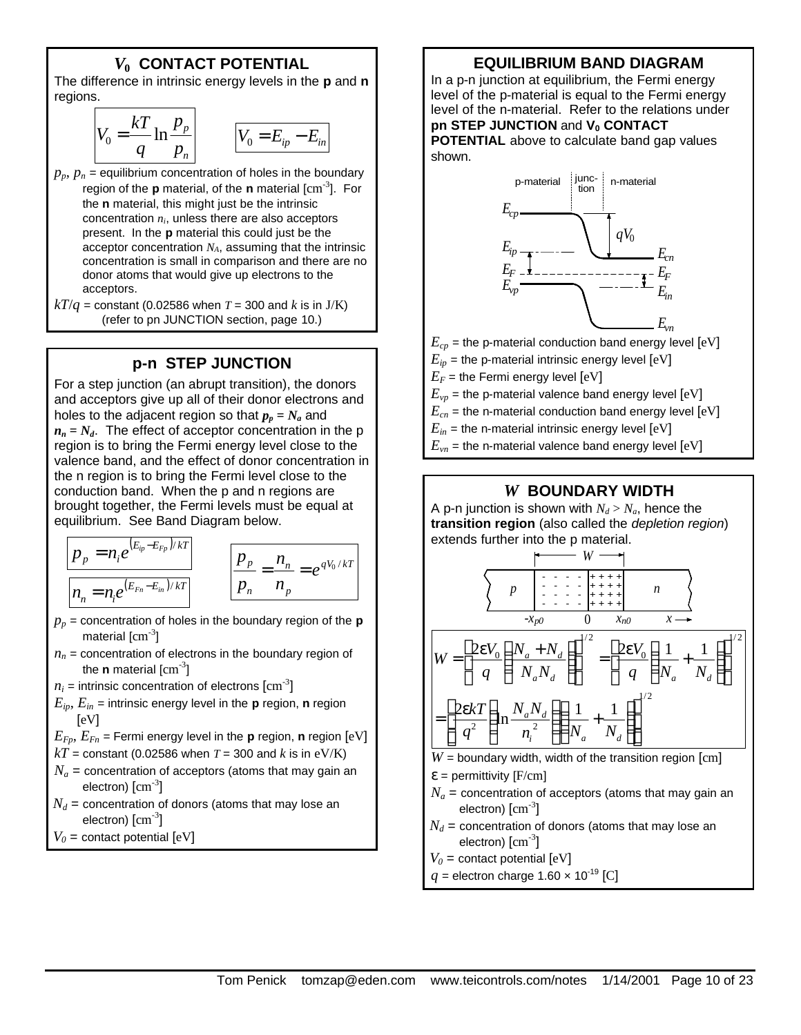### *V***0 CONTACT POTENTIAL**

The difference in intrinsic energy levels in the **p** and **n** regions.

$$
V_0 = \frac{kT}{q} \ln \frac{p_p}{p_n}
$$
 
$$
V_0 = E_{ip} - E_{in}
$$

 $p_p$ ,  $p_n$  = equilibrium concentration of holes in the boundary region of the **p** material, of the **n** material [cm-3 ]. For the **n** material, this might just be the intrinsic concentration *ni*, unless there are also acceptors present. In the **p** material this could just be the acceptor concentration *NA*, assuming that the intrinsic concentration is small in comparison and there are no donor atoms that would give up electrons to the acceptors.

 $kT/q$  = constant (0.02586 when  $T = 300$  and *k* is in J/K) (refer to pn JUNCTION section, page 10.)

### **p-n STEP JUNCTION**

For a step junction (an abrupt transition), the donors and acceptors give up all of their donor electrons and holes to the adjacent region so that  $p_p = N_a$  and  $n_n = N_d$ . The effect of acceptor concentration in the p region is to bring the Fermi energy level close to the valence band, and the effect of donor concentration in the n region is to bring the Fermi level close to the conduction band. When the p and n regions are brought together, the Fermi levels must be equal at equilibrium. See Band Diagram below.

$$
\frac{p_p = n_i e^{(E_{ip} - E_{fp})/kT}}{n_n = n_i e^{(E_{Fn} - E_{in})/kT}}
$$
\n
$$
\frac{p_p}{p_n} = \frac{n_n}{n_p} = e^{qV_0/kT}
$$

- $p_p$  = concentration of holes in the boundary region of the **p** material  $\rm[cm^{-3}]$
- $n_n$  = concentration of electrons in the boundary region of the **n** material [cm<sup>-3</sup>]
- $n_i$  = intrinsic concentration of electrons  $\mathrm{[cm^{3}]}$
- $E_{ip}$ ,  $E_{in}$  = intrinsic energy level in the **p** region, **n** region  $[eV]$

$$
E_{Fp}
$$
,  $E_{Fn}$  = Fermi energy level in the **p** region, **n** region [eV]

- $kT$  = constant (0.02586 when *T* = 300 and *k* is in eV/K)
- $N_a$  = concentration of acceptors (atoms that may gain an electron)  $\rm[cm^{-3}]$
- $N_d$  = concentration of donors (atoms that may lose an electron)  $\rm[cm^{3}]$
- $V_0$  = contact potential  $[eV]$

### **EQUILIBRIUM BAND DIAGRAM**

In a p-n junction at equilibrium, the Fermi energy level of the p-material is equal to the Fermi energy level of the n-material. Refer to the relations under **pn STEP JUNCTION** and **V0 CONTACT POTENTIAL** above to calculate band gap values

shown.



#### *W* **BOUNDARY WIDTH**

A p-n junction is shown with  $N_d > N_a$ , hence the **transition region** (also called the *depletion region*) extends further into the p material.



- $N_a$  = concentration of acceptors (atoms that may gain an electron)  $\rm[cm^{-3}]$
- $N_d$  = concentration of donors (atoms that may lose an electron)  $\rm[cm^{-3}]$
- $V_0$  = contact potential  $[eV]$
- $q =$  electron charge 1.60  $\times$  10<sup>-19</sup> [C]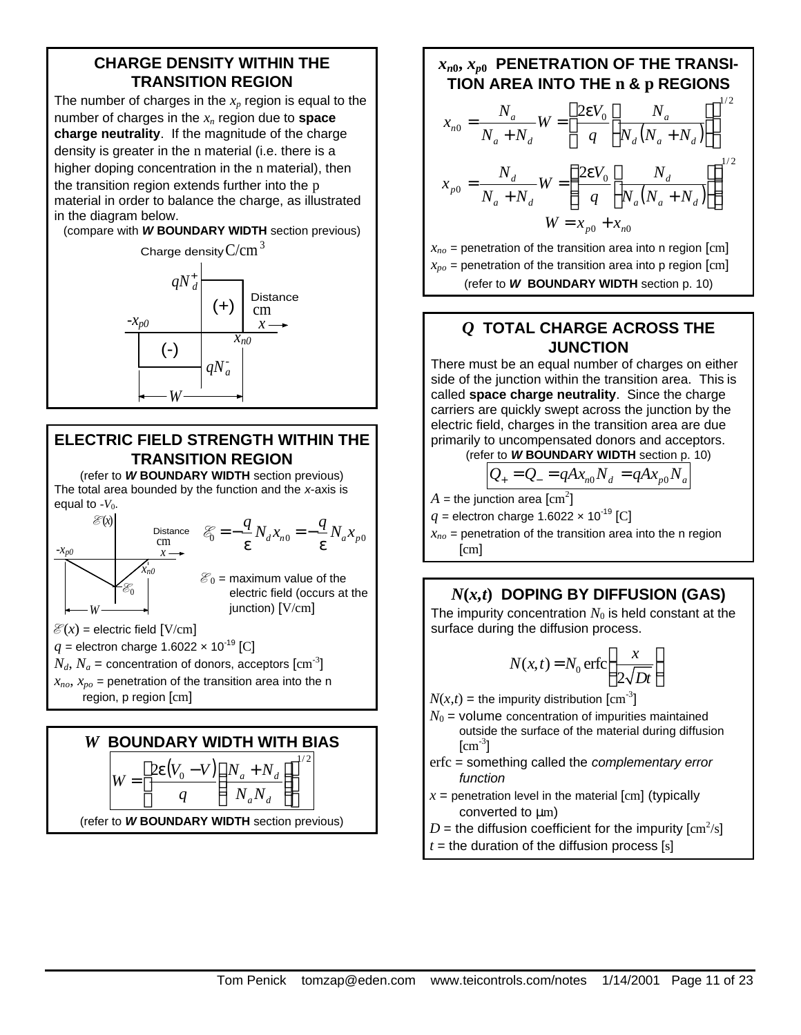### **CHARGE DENSITY WITHIN THE TRANSITION REGION**

The number of charges in the *xp* region is equal to the number of charges in the *xn* region due to **space charge neutrality**. If the magnitude of the charge density is greater in the n material (i.e. there is a higher doping concentration in the n material), then the transition region extends further into the p material in order to balance the charge, as illustrated in the diagram below.

(compare with *W* **BOUNDARY WIDTH** section previous)



# **ELECTRIC FIELD STRENGTH WITHIN THE TRANSITION REGION**

(refer to *W* **BOUNDARY WIDTH** section previous) The total area bounded by the function and the *x*-axis is equal to  $-V<sub>0</sub>$ .





# $x_{n0}$ ,  $x_{p0}$  PENETRATION OF THE TRANSI-**TION AREA INTO THE n & p REGIONS**

$$
x_{n0} = \frac{N_a}{N_a + N_d} W = \left\{ \frac{2\epsilon V_0}{q} \left[ \frac{N_a}{N_d (N_a + N_d)} \right] \right\}^{1/2}
$$
  

$$
x_{p0} = \frac{N_d}{N_a + N_d} W = \left\{ \frac{2\epsilon V_0}{q} \left[ \frac{N_d}{N_a (N_a + N_d)} \right] \right\}^{1/2}
$$
  

$$
W = x_{p0} + x_{n0}
$$

 $x_{no}$  = penetration of the transition area into n region [cm]  $x_{po}$  = penetration of the transition area into p region  $\text{[cm]}$ (refer to *W* **BOUNDARY WIDTH** section p. 10)

# *Q* **TOTAL CHARGE ACROSS THE JUNCTION**

There must be an equal number of charges on either side of the junction within the transition area. This is called **space charge neutrality**. Since the charge carriers are quickly swept across the junction by the electric field, charges in the transition area are due primarily to uncompensated donors and acceptors. (refer to *W* **BOUNDARY WIDTH** section p. 10)

# $Q_{+} = Q_{-} = qAx_{n0}N_{d} = qAx_{p0}N_{a}$

 $A=$  the junction area  $\rm[cm^2]$ 

 $q$  = electron charge 1.6022  $\times$  10<sup>-19</sup> [C]

 $x_{no}$  = penetration of the transition area into the n region [cm]

# $N(x,t)$  **DOPING BY DIFFUSION (GAS)**

The impurity concentration  $N_0$  is held constant at the surface during the diffusion process.

$$
N(x,t) = N_0 \operatorname{erfc}\left(\frac{x}{2\sqrt{Dt}}\right)
$$

 $N(x,t)$  = the impurity distribution  $\text{[cm}^{-3}\text{]}$ 

- $N_0$  = volume concentration of impurities maintained outside the surface of the material during diffusion  $[\text{cm}^{\text{-3}}]$
- erfc = something called the *complementary error function*
- $x =$  penetration level in the material  $[cm]$  (typically converted to μm)
- $D =$  the diffusion coefficient for the impurity  $\rm[cm^2/s]$
- $t =$  the duration of the diffusion process [s]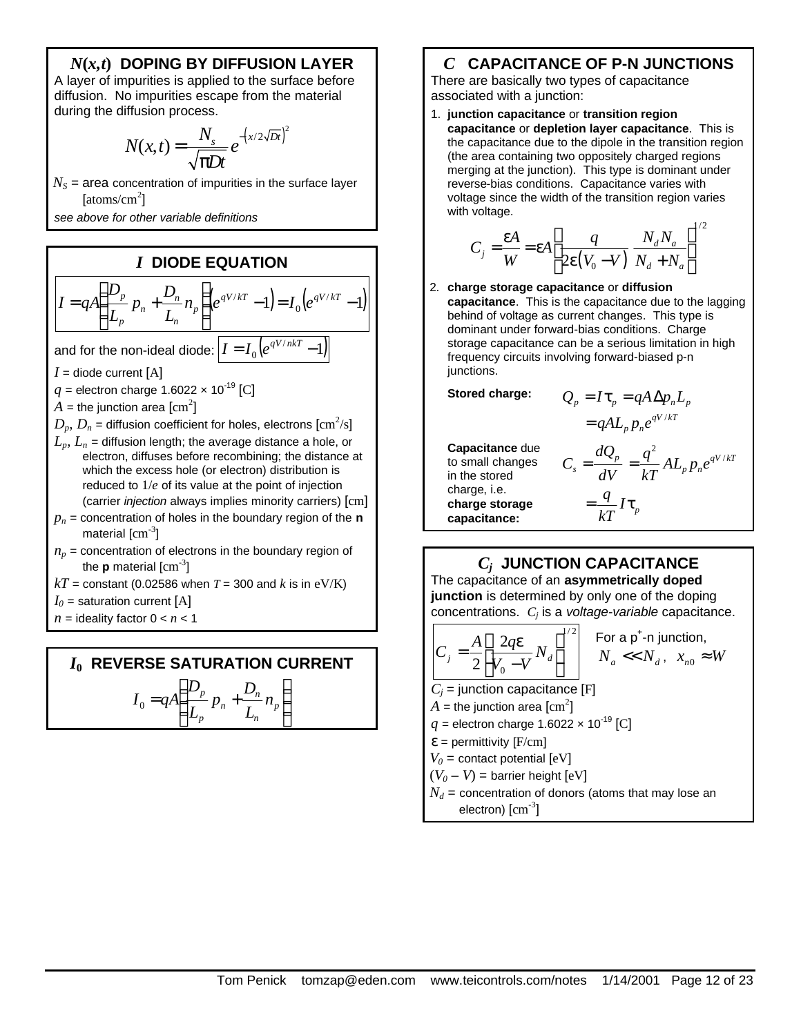### *N***(***x,t***) DOPING BY DIFFUSION LAYER**

A layer of impurities is applied to the surface before diffusion. No impurities escape from the material during the diffusion process.

$$
N(x,t) = \frac{N_s}{\sqrt{\pi Dt}} e^{-\left(x/2\sqrt{Dt}\right)^2}
$$

 $N<sub>S</sub>$  = area concentration of impurities in the surface layer [atoms/cm<sup>2</sup>]

*see above for other variable definitions*

# *I* **DIODE EQUATION**

$$
I = qA \left( \frac{D_p}{L_p} p_n + \frac{D_n}{L_n} n_p \right) \left( e^{qV/kT} - 1 \right) = I_0 \left( e^{qV/kT} - 1 \right)
$$
  
and for the non-ideal diode: 
$$
I = I_0 \left( e^{qV/nkT} - 1 \right)
$$

$$
I = \text{diode current [A]}
$$

 $q =$  electron charge 1.6022  $\times$  10<sup>-19</sup> [C]

- $A=$  the junction area  $\rm[cm^2]$
- $D_p, \, D_n$  = diffusion coefficient for holes, electrons  $[\rm{cm^2/s}]$
- $L_p$ ,  $L_n$  = diffusion length; the average distance a hole, or electron, diffuses before recombining; the distance at which the excess hole (or electron) distribution is reduced to 1/*e* of its value at the point of injection (carrier *injection* always implies minority carriers) [cm]
- $p_n$  = concentration of holes in the boundary region of the **n** material  $\rm[cm^{-3}]$
- $n_p$  = concentration of electrons in the boundary region of the **p** material [cm<sup>-3</sup>]
- $kT$  = constant (0.02586 when *T* = 300 and *k* is in eV/K)
- $I_0$  = saturation current [A]
- $n =$  ideality factor  $0 < n < 1$

#### *I***0 REVERSE SATURATION CURRENT** I  $\left( \frac{1}{2} \right)$ I ſ  $= qA \frac{-p}{l} p_n + \frac{B_n}{l} n_p$ *n*  $\frac{p}{p}$   $p_n + \frac{D_n}{q}n$ *D p D*  $I_0 = qA$

*n p*

I

*L*

l

J

 $\bigg)$ 

*n*

*L*

# *C* **CAPACITANCE OF P-N JUNCTIONS**

There are basically two types of capacitance associated with a junction:

1. **junction capacitance** or **transition region capacitance** or **depletion layer capacitance**. This is the capacitance due to the dipole in the transition region (the area containing two oppositely charged regions merging at the junction). This type is dominant under reverse-bias conditions. Capacitance varies with voltage since the width of the transition region varies with voltage.

$$
C_j = \frac{\varepsilon A}{W} = \varepsilon A \left[ \frac{q}{2\varepsilon (V_0 - V)} \frac{N_d N_a}{N_d + N_a} \right]^{1/2}
$$

2. **charge storage capacitance** or **diffusion capacitance**. This is the capacitance due to the lagging behind of voltage as current changes. This type is dominant under forward-bias conditions. Charge storage capacitance can be a serious limitation in high frequency circuits involving forward-biased p-n junctions.

 $Stored$  *charge:* 

$$
Q_p = I \tau_p = qA \Delta p_n L_p
$$

$$
= qA L_p p_n e^{qV/kT}
$$

**Capacitance** due to small changes in the stored charge, i.e. **charge storage capacitance:**

$$
C_s = \frac{dQ_p}{dV} = \frac{q^2}{kT} A L_p p_n e^{qV/kT}
$$

$$
= \frac{q}{kT} I \tau_p
$$

# *Cj*  **JUNCTION CAPACITANCE**

The capacitance of an **asymmetrically doped junction** is determined by only one of the doping concentrations. *C<sup>j</sup>* is a *voltage-variable* capacitance.

$$
C_j = \frac{A}{2} \left[ \frac{2qe}{V_0 - V} N_d \right]^{1/2} \quad \text{For a p+-n junction,}
$$
  
\n
$$
C_j = \text{junction capacitance [F]}
$$
  
\n
$$
A = \text{the junction area [cm2]} \quad q = \text{electron charge } 1.6022 \times 10^{-19} \text{ [C]}
$$
  
\n
$$
V_0 = \text{contact potential [eV]}
$$
  
\n
$$
V_0 = \text{Incurrent height [eV]}
$$
  
\n
$$
V_0 = \text{Incurrent height [eV]}
$$

 $(V_0 - V)$  = barrier height  $[ev]$ 

 $N_d$  = concentration of donors (atoms that may lose an electron)  $\rm[cm^{3}]$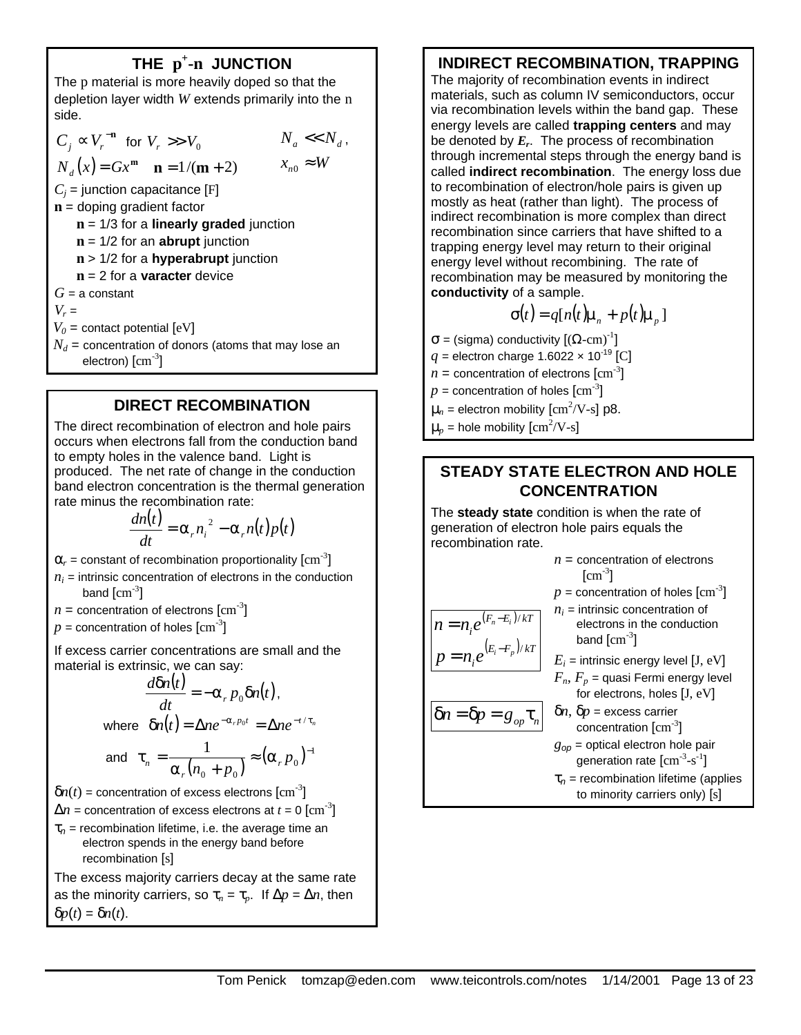# **THE p + -n JUNCTION**

The p material is more heavily doped so that the depletion layer width *W* extends primarily into the n side.

 $C_j$  ∝  $V_r$ <sup>-n</sup> for  $V_r$  >>  $V_0$  $N_d(x) = Gx^m$   $\mathbf{n} = 1/(\mathbf{m} + 2)$   $X_{n0} \approx W$  $N_a \ll N_d$ ,  $C_j$  = junction capacitance [F] **n** = doping gradient factor **n** = 1/3 for a **linearly graded** junction **n** = 1/2 for an **abrupt** junction **n** > 1/2 for a **hyperabrupt** junction **n** = 2 for a **varacter** device  $G = a$  constant  $V_r =$  $V_0$  = contact potential  $[eV]$  $N_d$  = concentration of donors (atoms that may lose an electron)  $\rm[cm^{-3}]$ 

### **DIRECT RECOMBINATION**

The direct recombination of electron and hole pairs occurs when electrons fall from the conduction band to empty holes in the valence band. Light is produced. The net rate of change in the conduction band electron concentration is the thermal generation rate minus the recombination rate:

$$
\frac{dn(t)}{dt} = \alpha_r n_i^2 - \alpha_r n(t)p(t)
$$

 $\alpha_r$  = constant of recombination proportionality  $\text{[cm}^{-3}\text{]}$ 

- $n_i$  = intrinsic concentration of electrons in the conduction band  $\rm[cm^{-3}]$
- $n =$  concentration of electrons  $\text{[cm}^{-3}\text{]}$
- $p =$  concentration of holes  $\text{[cm}^{-3}\text{]}$

If excess carrier concentrations are small and the material is extrinsic, we can say:

$$
\frac{d\delta n(t)}{dt}=-\alpha_r p_0 \delta n(t),
$$

where 
$$
\delta n(t) = \Delta n e^{-\alpha_r p_0 t} = \Delta n e^{-t/\tau_n}
$$

and 
$$
\tau_n = \frac{1}{\alpha_r (n_0 + p_0)} \approx (\alpha_r p_0)^{-1}
$$

 $\delta n(t)$  = concentration of excess electrons  $\text{[cm}^3\text{]}$ 

- $\Delta n$  = concentration of excess electrons at  $t = 0 \; [\rm{cm}^{-3}]$
- τ*<sup>n</sup>* = recombination lifetime, i.e. the average time an electron spends in the energy band before recombination [s]

The excess majority carriers decay at the same rate as the minority carriers, so  $\tau_n = \tau_p$ . If  $\Delta p = \Delta n$ , then δ*p*(*t*) = δ*n*(*t*).

### **INDIRECT RECOMBINATION, TRAPPING**

The majority of recombination events in indirect materials, such as column IV semiconductors, occur via recombination levels within the band gap. These energy levels are called **trapping centers** and may be denoted by *E<sup>r</sup>* . The process of recombination through incremental steps through the energy band is called **indirect recombination**. The energy loss due to recombination of electron/hole pairs is given up mostly as heat (rather than light). The process of indirect recombination is more complex than direct recombination since carriers that have shifted to a trapping energy level may return to their original energy level without recombining. The rate of recombination may be measured by monitoring the **conductivity** of a sample.

$$
\sigma(t) = q[n(t)\mu_n + p(t)\mu_p]
$$

 $\sigma$  = (sigma) conductivity  $[(\Omega$ -cm)<sup>-1</sup>]

 $q =$  electron charge 1.6022  $\times$  10<sup>-19</sup> [C]

 $n =$  concentration of electrons  $\text{[cm}^{-3}\text{]}$ 

 $p=$  concentration of holes  $\rm[cm^{-3}]$ 

- $\mu_n$  = electron mobility  $\text{[cm}^2/\text{V-s}\text{]}$  p8.
- $\mu_p$  = hole mobility  $\text{[cm}^2/\text{V-s}\text{]}$

# **STEADY STATE ELECTRON AND HOLE CONCENTRATION**

The **steady state** condition is when the rate of generation of electron hole pairs equals the recombination rate.

|                                       | $n =$ concentration of electrons<br>$\text{[cm}^3$                                                 |
|---------------------------------------|----------------------------------------------------------------------------------------------------|
|                                       | $p =$ concentration of holes $\text{cm}^{-3}$                                                      |
| $n = n_{i}e^{(F_{n}-E_{i})/kT}$       | $n_i$ = intrinsic concentration of<br>electrons in the conduction<br>band $\text{[cm}^{3}\text{]}$ |
| $p = n_{i}e^{(E_{i}-F_{p})/kT}$       | $E_i$ = intrinsic energy level [J, eV]                                                             |
|                                       | $F_n$ , $F_p$ = quasi Fermi energy level<br>for electrons, holes [J, eV]                           |
| $\delta n = \delta p = g_{op} \tau_n$ | $\delta n$ , $\delta p$ = excess carrier<br>concentration $\text{[cm}^{-3}\text{]}$                |
|                                       | $g_{op}$ = optical electron hole pair<br>generation rate $\text{[cm}^{-3}$ -s <sup>-1</sup> ]      |
|                                       | $\tau_n$ = recombination lifetime (applies<br>to minority carriers only) [s]                       |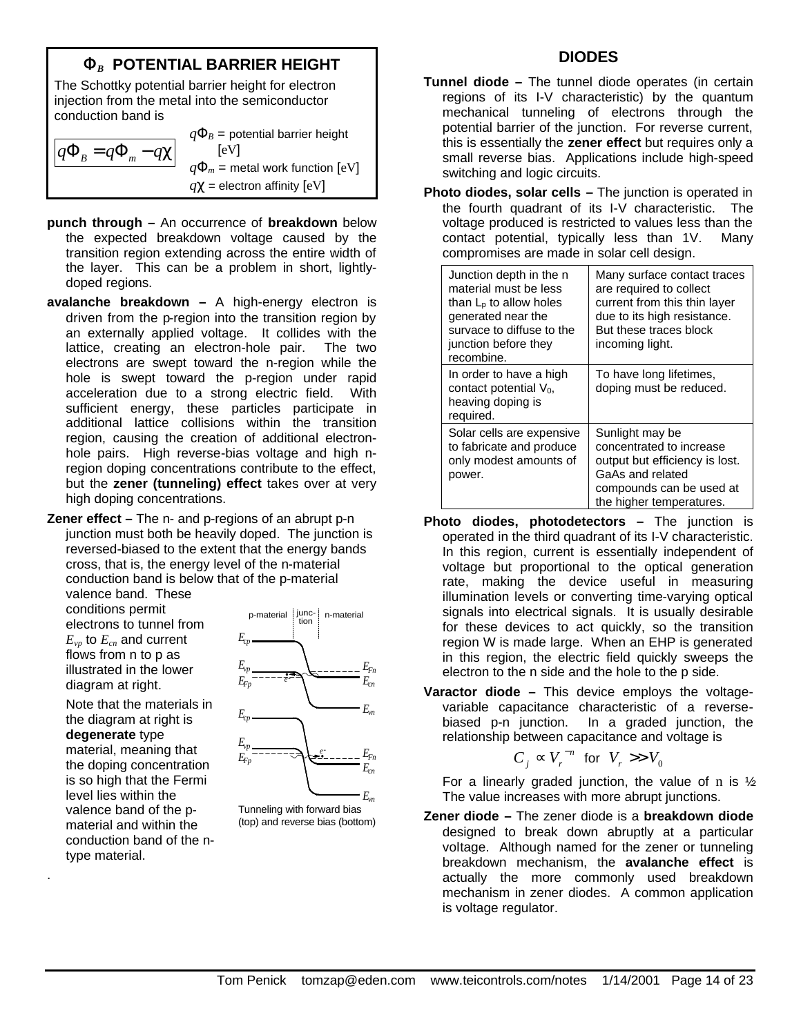# **F***B* **POTENTIAL BARRIER HEIGHT**

The Schottky potential barrier height for electron injection from the metal into the semiconductor conduction band is

 $q\Phi$ <sup>*B*</sup> =  $q\Phi$ <sub>*m*</sub> − *q*χ  $q\Phi_B$  = potential barrier height [eV]  $q\Phi_m$  = metal work function [eV] *q*χ = electron affinity [eV]

- **punch through –** An occurrence of **breakdown** below the expected breakdown voltage caused by the transition region extending across the entire width of the layer. This can be a problem in short, lightlydoped regions.
- **avalanche breakdown –** A high-energy electron is driven from the p-region into the transition region by an externally applied voltage. It collides with the lattice, creating an electron-hole pair. The two electrons are swept toward the n-region while the hole is swept toward the p-region under rapid acceleration due to a strong electric field. With sufficient energy, these particles participate in additional lattice collisions within the transition region, causing the creation of additional electronhole pairs. High reverse-bias voltage and high nregion doping concentrations contribute to the effect, but the **zener (tunneling) effect** takes over at very high doping concentrations.

**Zener effect –** The n- and p-regions of an abrupt p-n junction must both be heavily doped. The junction is reversed-biased to the extent that the energy bands cross, that is, the energy level of the n-material conduction band is below that of the p-material valence band. These

conditions permit electrons to tunnel from *Evp* to *Ecn* and current

flows from n to p as illustrated in the lower diagram at right.

Note that the materials in the diagram at right is **degenerate** type material, meaning that the doping concentration is so high that the Fermi level lies within the valence band of the pmaterial and within the conduction band of the ntype material.

.



Tunneling with forward bias (top) and reverse bias (bottom)

#### **DIODES**

- **Tunnel diode –** The tunnel diode operates (in certain regions of its I-V characteristic) by the quantum mechanical tunneling of electrons through the potential barrier of the junction. For reverse current, this is essentially the **zener effect** but requires only a small reverse bias. Applications include high-speed switching and logic circuits.
- **Photo diodes, solar cells –** The junction is operated in the fourth quadrant of its I-V characteristic. The voltage produced is restricted to values less than the contact potential, typically less than 1V. Many compromises are made in solar cell design.

| Junction depth in the n<br>material must be less<br>than $L_{p}$ to allow holes<br>generated near the<br>survace to diffuse to the<br>junction before they<br>recombine. | Many surface contact traces<br>are required to collect<br>current from this thin layer<br>due to its high resistance.<br>But these traces block<br>incoming light. |
|--------------------------------------------------------------------------------------------------------------------------------------------------------------------------|--------------------------------------------------------------------------------------------------------------------------------------------------------------------|
| In order to have a high<br>contact potential $V_0$ ,<br>heaving doping is<br>required.                                                                                   | To have long lifetimes,<br>doping must be reduced.                                                                                                                 |
| Solar cells are expensive<br>to fabricate and produce<br>only modest amounts of<br>power.                                                                                | Sunlight may be<br>concentrated to increase<br>output but efficiency is lost.<br>GaAs and related<br>compounds can be used at<br>the higher temperatures.          |

- **Photo diodes, photodetectors –** The junction is operated in the third quadrant of its I-V characteristic. In this region, current is essentially independent of voltage but proportional to the optical generation rate, making the device useful in measuring illumination levels or converting time-varying optical signals into electrical signals. It is usually desirable for these devices to act quickly, so the transition region W is made large. When an EHP is generated in this region, the electric field quickly sweeps the electron to the n side and the hole to the p side.
- **Varactor diode –** This device employs the voltagevariable capacitance characteristic of a reversebiased p-n junction. In a graded junction, the relationship between capacitance and voltage is

$$
C_j \propto V_r^{-n} \text{ for } V_r >> V_0
$$

For a linearly graded junction, the value of n is  $\frac{1}{2}$ . The value increases with more abrupt junctions.

**Zener diode –** The zener diode is a **breakdown diode** designed to break down abruptly at a particular voltage. Although named for the zener or tunneling breakdown mechanism, the **avalanche effect** is actually the more commonly used breakdown mechanism in zener diodes. A common application is voltage regulator.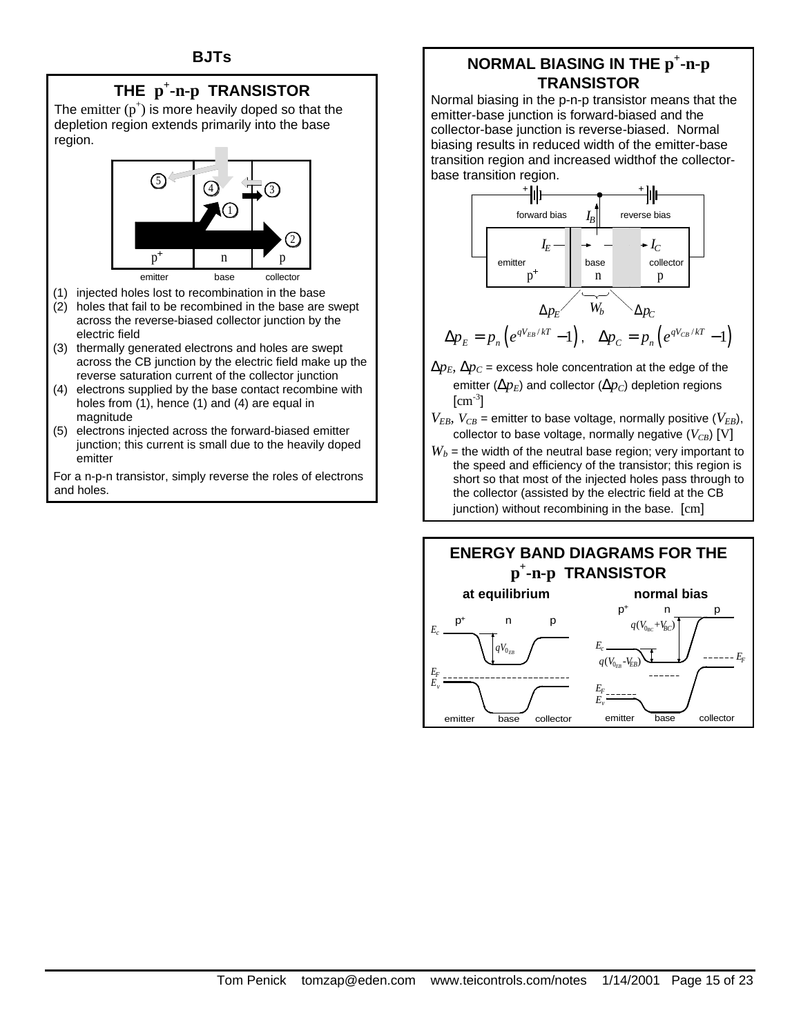# **THE p + -n-p TRANSISTOR**

The emitter  $(p^+)$  is more heavily doped so that the depletion region extends primarily into the base region.



- (1) injected holes lost to recombination in the base
- (2) holes that fail to be recombined in the base are swept across the reverse-biased collector junction by the electric field
- (3) thermally generated electrons and holes are swept across the CB junction by the electric field make up the reverse saturation current of the collector junction
- (4) electrons supplied by the base contact recombine with holes from (1), hence (1) and (4) are equal in magnitude
- (5) electrons injected across the forward-biased emitter junction; this current is small due to the heavily doped emitter

For a n-p-n transistor, simply reverse the roles of electrons and holes.

# **NORMAL BIASING IN THE**  $p^+$ **-n-** $p$ **TRANSISTOR**

Normal biasing in the p-n-p transistor means that the emitter-base junction is forward-biased and the collector-base junction is reverse-biased. Normal biasing results in reduced width of the emitter-base transition region and increased widthof the collectorbase transition region.



$$
\Delta p_E = p_n \left( e^{qV_{EB}/kT} - 1 \right), \quad \Delta p_C = p_n \left( e^{qV_{CB}/kT} - 1 \right)
$$

- $\Delta p_E$ ,  $\Delta p_C$  = excess hole concentration at the edge of the emitter ( $\Delta p_F$ ) and collector ( $\Delta p_C$ ) depletion regions  $\text{[cm}^{-3}$ ]
- $V_{EB}$ ,  $V_{CB}$  = emitter to base voltage, normally positive ( $V_{EB}$ ), collector to base voltage, normally negative  $(V_{CR})$  [V]
- $W_b$  = the width of the neutral base region; very important to the speed and efficiency of the transistor; this region is short so that most of the injected holes pass through to the collector (assisted by the electric field at the CB junction) without recombining in the base. [cm]

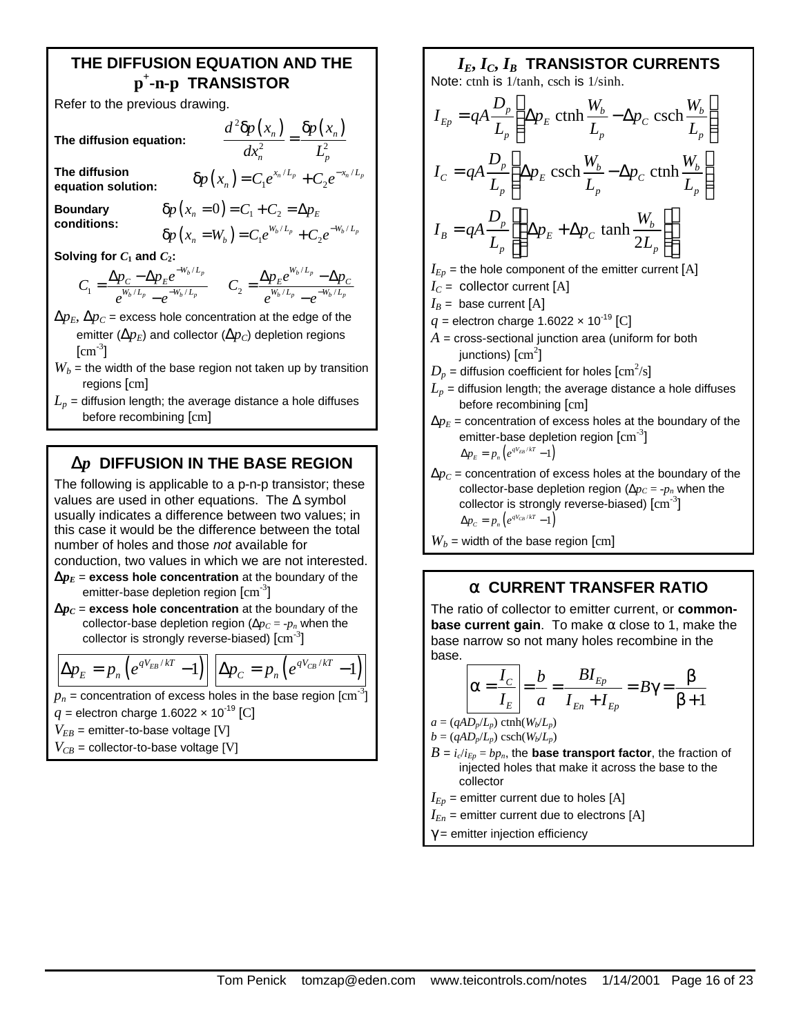### **THE DIFFUSION EQUATION AND THE p + -n-p TRANSISTOR**

Refer to the previous drawing.

**The diffusion equation:**

$$
\frac{d^2\delta p\left(x_n\right)}{dx_n^2}=\frac{\delta p\left(x_n\right)}{L_p^2}
$$

 $1^e$   $\top$   $C_2$ <sup> $\top$ </sup>  $\delta p(x_n) = C_1 e^{x_n/L_p} + C_2 e^{-x_n/L_p}$ 

 $/L_n$ ,  $\sigma$   $-x_n/l$ 

**The diffusion equation solution:** 

**Boundary conditions:**

$$
\delta p(x_n = 0) = C_1 + C_2 = \Delta p_E
$$
  

$$
\delta p(x_n = W_b) = C_1 e^{W_b/L_p} + C_2 e^{-W_b/L_p}
$$

**Solving for**  $C_1$  **and**  $C_2$ **:** 

$$
C_1 = \frac{\Delta p_C - \Delta p_E e^{-W_b/L_p}}{e^{W_b/L_p} - e^{-W_b/L_p}} \qquad C_2 = \frac{\Delta p_E e^{W_b/L_p} - \Delta p_C}{e^{W_b/L_p} - e^{-W_b/L_p}}
$$

 $\Delta p_E$ ,  $\Delta p_C$  = excess hole concentration at the edge of the emitter ( $\Delta p_E$ ) and collector ( $\Delta p_C$ ) depletion regions  $\text{[cm}^{\text{-3}}\text{]}$ 

- $W_b$  = the width of the base region not taken up by transition regions [cm]
- $L_p$  = diffusion length; the average distance a hole diffuses before recombining [cm]

# **D***p* **DIFFUSION IN THE BASE REGION**

The following is applicable to a p-n-p transistor; these values are used in other equations. The  $\Delta$  symbol usually indicates a difference between two values; in this case it would be the difference between the total number of holes and those *not* available for conduction, two values in which we are not interested.

- $\mathbf{D}p_E$  = excess hole concentration at the boundary of the emitter-base depletion region  $\mathrm{[cm^{3}]}$
- $\mathbf{D}p_C$  = excess hole concentration at the boundary of the collector-base depletion region ( $\Delta p_C = -p_n$  when the collector is strongly reverse-biased)  $\text{[cm}^{\text{-3}}\text{]}$

$$
\Delta p_E = p_n \left( e^{qV_{EB}/kT} - 1 \right) \left[ \Delta p_C = p_n \left( e^{qV_{CB}/kT} - 1 \right) \right]
$$

 $p_n$  = concentration of excess holes in the base region  $\mathrm{[cm^{-3}]}$ 

- $q =$  electron charge 1.6022  $\times$  10<sup>-19</sup> [C]
- $V_{EB}$  = emitter-to-base voltage [V]
- $V_{CB}$  = collector-to-base voltage [V]

Note: cth is 1/tanh, csch is 1/sinh.  
\n
$$
I_{Ep} = qA \frac{D_p}{L_p} \left( \Delta p_E \text{ cth} \frac{W_b}{L_p} - \Delta p_C \text{ csch} \frac{W_b}{L_p} \right)
$$
  
\n $I_C = qA \frac{D_p}{L_p} \left( \Delta p_E \text{ csch} \frac{W_b}{L_p} - \Delta p_C \text{ cth} \frac{W_b}{L_p} \right)$   
\n $I_B = qA \frac{D_p}{L_p} \left( \Delta p_E + \Delta p_C \text{ tanh} \frac{W_b}{2L_p} \right)$   
\n $I_{Ep}$  = the hole component of the emitter current [A]  
\n $I_C$  = collector current [A]  
\n $I_E$  base current [A]  
\n $q$  = electron charge 1.6022 × 10<sup>-19</sup> [C]  
\n $A$  = cross-sectional junction area (uniform for both junctions) [cm<sup>2</sup>]  
\n $D_p$  = diffusion coefficient for holes [cm<sup>2</sup>/s]  
\n $L_p$  = diffusion length; the average distance a hole diffuses before recombining [cm]  
\n $\Delta p_E$  = concentration of excess holes at the boundary of the  
\nemitter-base depletion region [cm<sup>-3</sup>]  
\n $\Delta p_E = p_n (e^{qV_{B}/kT} - 1)$   
\n $\Delta p_C$  = concentration of excess holes at the boundary of the  
\ncollector base depletion region ( $\Delta p_E$  = n, when the

*IE***,** *IC***,** *IB* **TRANSISTOR CURRENTS**

collector-base depletion region ( $\Delta p_C = -p_n$  when the collector is strongly reverse-biased)  $\text{[cm}^{-3}\text{]}$  $\Delta p_c = p_n \left( e^{qV_{CB}/kT} - 1 \right)$ 

 $W_b$  = width of the base region [cm]

# **a CURRENT TRANSFER RATIO**

The ratio of collector to emitter current, or **commonbase current gain**. To make  $\alpha$  close to 1, make the base narrow so not many holes recombine in the base.

$$
\alpha = \frac{I_C}{I_E} = \frac{b}{a} = \frac{BI_{Ep}}{I_{En} + I_{Ep}} = B\gamma = \frac{\beta}{\beta + 1}
$$

 $a = (qAD_p/L_p) \text{ctnh}(W_b/L_p)$ 

$$
b = (qAD_p/L_p) \, \text{csch}(W_b/L_p)
$$

- $B = i_c/i_{Ep} = bp_n$ , the **base transport factor**, the fraction of injected holes that make it across the base to the collector
- $I_{Ep}$  = emitter current due to holes [A]
- $I_{En}$  = emitter current due to electrons [A]
- $\gamma$  = emitter injection efficiency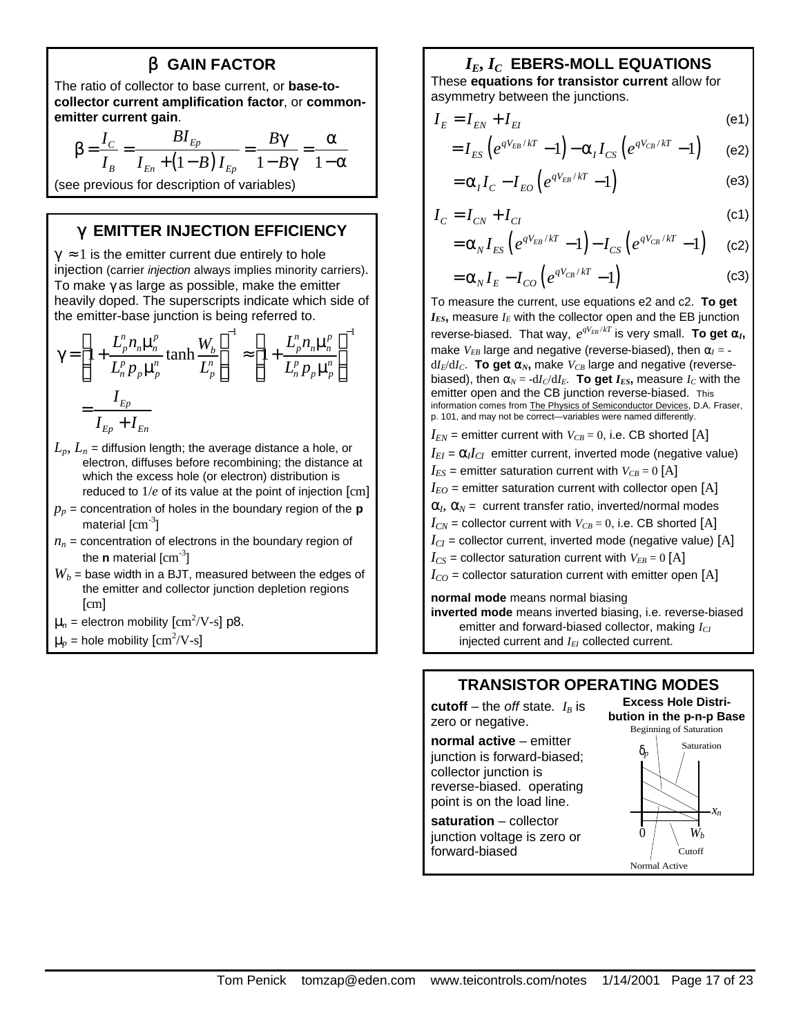### **b GAIN FACTOR**

The ratio of collector to base current, or **base-tocollector current amplification factor**, or **commonemitter current gain**.

$$
\beta = \frac{I_C}{I_B} = \frac{BI_{Ep}}{I_{En} + (1 - B)I_{Ep}} = \frac{B\gamma}{1 - B\gamma} = \frac{\alpha}{1 - \alpha}
$$

(see previous for description of variables)

#### **g EMITTER INJECTION EFFICIENCY**

 $\gamma \approx 1$  is the emitter current due entirely to hole injection (carrier *injection* always implies minority carriers). To make  $\gamma$  as large as possible, make the emitter heavily doped. The superscripts indicate which side of the emitter-base junction is being referred to.

$$
\gamma = \left[1 + \frac{L_p^n n_n \mu_n^p}{L_n^p p_p \mu_p^n} \tanh \frac{W_b}{L_p^n}\right]^{-1} \approx \left[1 + \frac{L_p^n n_n \mu_n^p}{L_n^p p_p \mu_p^n}\right]^{-1}
$$

$$
= \frac{I_{Ep}}{I_{Ep} + I_{En}}
$$

 $L_n$ ,  $L_n$  = diffusion length; the average distance a hole, or electron, diffuses before recombining; the distance at which the excess hole (or electron) distribution is reduced to 1/*e* of its value at the point of injection [cm]

- $p_p$  = concentration of holes in the boundary region of the **p** material  $\rm[cm^{-3}]$
- $n_n$  = concentration of electrons in the boundary region of the **n** material [cm-3 ]
- $W_b$  = base width in a BJT, measured between the edges of the emitter and collector junction depletion regions [cm]
- $\mu_n$  = electron mobility  $\text{[cm}^2/\text{V-s}\text{]}$  p8.

 $\mu_p$  = hole mobility  $\text{[cm}^2/\text{V-s}\text{]}$ 

### *IE***,** *IC* **EBERS-MOLL EQUATIONS**

These **equations for transistor current** allow for asymmetry between the junctions.

$$
I_E = I_{EN} + I_{EI}
$$
 (e1)

$$
=I_{ES}\left(e^{qV_{EB}/kT}-1\right)-\alpha_{I}I_{CS}\left(e^{qV_{CB}/kT}-1\right) \qquad \text{(e2)}
$$

$$
=\alpha_{I}I_{C}-I_{EO}\left(e^{qV_{EB}/kT}-1\right)
$$
 (e3)

$$
I_C = I_{CN} + I_{Cl} \tag{c1}
$$

$$
=\alpha_{N}I_{ES}\left(e^{qV_{EB}/kT}-1\right)-I_{CS}\left(e^{qV_{CB}/kT}-1\right)
$$
 (c2)

$$
=\alpha_{N}I_{E}-I_{CO}\left(e^{qV_{CB}/kT}-1\right)
$$
 (c3)

To measure the current, use equations e2 and c2. **To get**   $I_{ES}$ , measure  $I_E$  with the collector open and the EB junction reverse-biased. That way,  $e^{qV_{EB}/kT}$  is very small. To get  $a_I$ , make  $V_{EB}$  large and negative (reverse-biased), then  $\alpha_I =$  $dI_E/dI_C$ . **To get a**<sub>*N*</sub>, make  $V_{CB}$  large and negative (reversebiased), then  $\alpha_N = -dI_C/dI_E$ . To get  $I_{ES}$ , measure  $I_C$  with the emitter open and the CB junction reverse-biased. This information comes from The Physics of Semiconductor Devices, D.A. Fraser, p. 101, and may not be correct—variables were named differently.

 $I_{EN}$  = emitter current with  $V_{CB} = 0$ , i.e. CB shorted [A]  $I_{EI} = \alpha_l I_{CI}$  emitter current, inverted mode (negative value)  $I_{ES}$  = emitter saturation current with  $V_{CB}$  = 0 [A]  $I_{EO}$  = emitter saturation current with collector open [A]  $\alpha$ <sub>*I*</sub>,  $\alpha$ <sub>*N*</sub> = current transfer ratio, inverted/normal modes  $I_{CN}$  = collector current with  $V_{CB} = 0$ , i.e. CB shorted [A]  $I_{CI}$  = collector current, inverted mode (negative value) [A]  $I_{CS}$  = collector saturation current with  $V_{EB} = 0$  [A]  $I_{CO}$  = collector saturation current with emitter open [A]

#### **normal mode** means normal biasing

**inverted mode** means inverted biasing, i.e. reverse-biased emitter and forward-biased collector, making *ICI* injected current and *IEI* collected current.

#### **TRANSISTOR OPERATING MODES**

**cutoff** – the *off* state.  $I_B$  is zero or negative.

**normal active** – emitter junction is forward-biased; collector junction is reverse-biased. operating point is on the load line.

**saturation** – collector junction voltage is zero or forward-biased

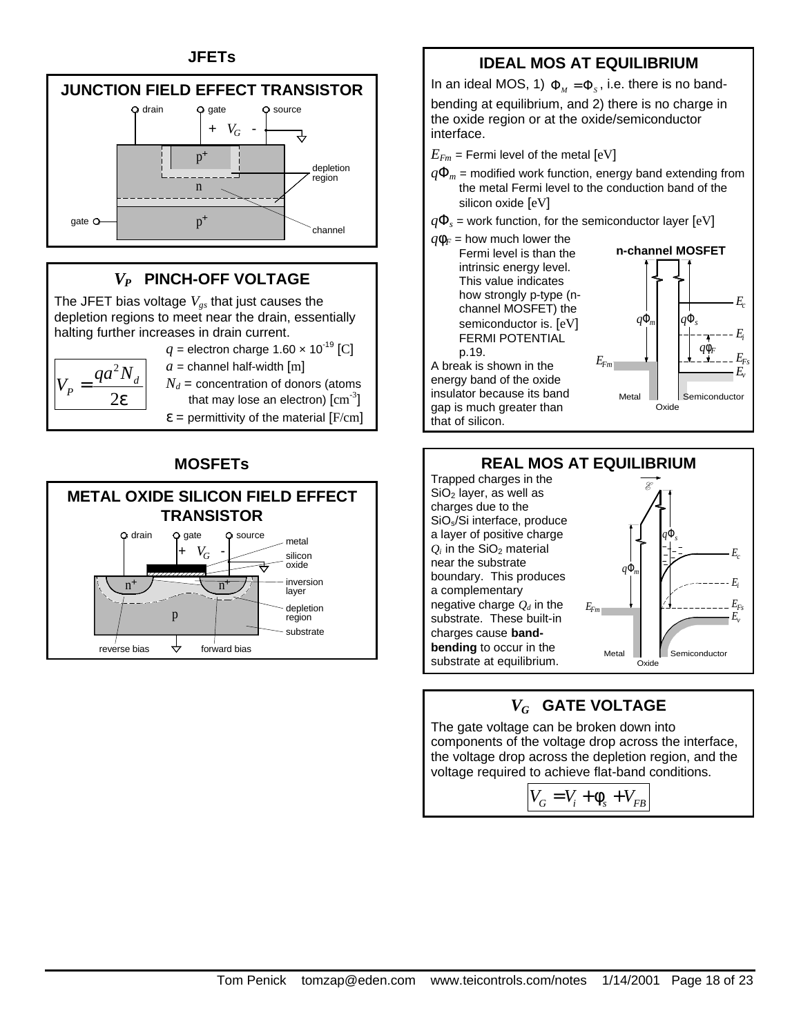### **JFETs**



# *VP* **PINCH-OFF VOLTAGE**

The JFET bias voltage *Vgs* that just causes the depletion regions to meet near the drain, essentially halting further increases in drain current.



 $q =$  electron charge 1.60  $\times$  10<sup>-19</sup> [C]  $a =$  channel half-width  $[m]$ 

 $N_d$  = concentration of donors (atoms that may lose an electron)  $\text{[cm}^{\text{-3}}\text{]}$ 

 $\epsilon$  = permittivity of the material [F/cm]

# **MOSFETs**



# **IDEAL MOS AT EQUILIBRIUM**

In an ideal MOS, 1)  $\Phi_M = \Phi_S$ , i.e. there is no band-

bending at equilibrium, and 2) there is no charge in the oxide region or at the oxide/semiconductor interface.

 $E_{Fm}$  = Fermi level of the metal  $[eV]$ 

- $q\Phi_m$  = modified work function, energy band extending from the metal Fermi level to the conduction band of the silicon oxide [eV]
- $q\Phi$ <sub>s</sub> = work function, for the semiconductor layer  $[eV]$







# *VG* **GATE VOLTAGE**

The gate voltage can be broken down into components of the voltage drop across the interface, the voltage drop across the depletion region, and the voltage required to achieve flat-band conditions.

 $V_G = V_i + \phi_s + V_{FB}$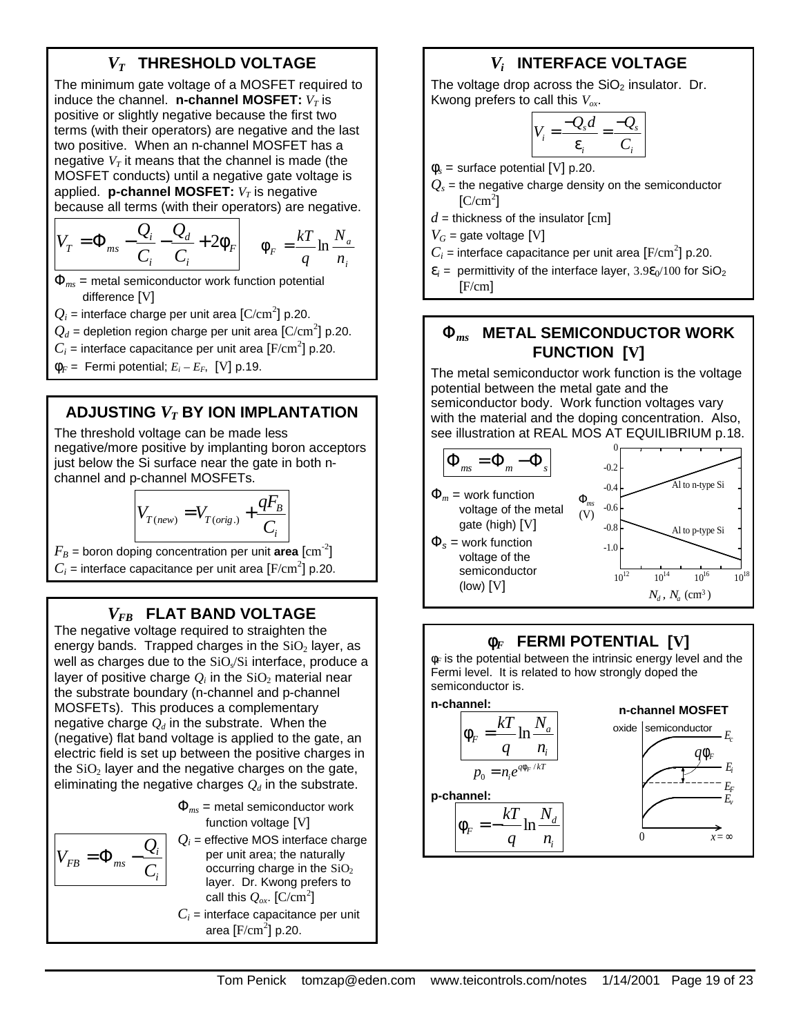# *VT* **THRESHOLD VOLTAGE**

The minimum gate voltage of a MOSFET required to induce the channel.  $n$ -channel MOSFET:  $V_T$  is positive or slightly negative because the first two terms (with their operators) are negative and the last two positive. When an n-channel MOSFET has a negative  $V_T$  it means that the channel is made (the MOSFET conducts) until a negative gate voltage is applied. **p-channel MOSFET:**  $V_T$  is negative because all terms (with their operators) are negative.

$$
V_T = \Phi_{ms} - \frac{Q_i}{C_i} - \frac{Q_d}{C_i} + 2\phi_F \qquad \phi_F = \frac{kT}{q} \ln \frac{N_a}{n_i}
$$

Φ*ms* = metal semiconductor work function potential difference [V]

 $Q_i$  = interface charge per unit area  ${\rm [C/cm}^2{\rm ]}$  p.20.

 $Q_d$  = depletion region charge per unit area  ${\rm [C/cm^2]}$  p.20.

 $C_i$  = interface capacitance per unit area  $[F/cm^2]$  p.20.

 $\Phi_F$  = Fermi potential;  $E_i - E_F$ , [V] p.19.

# **ADJUSTING** *VT* **BY ION IMPLANTATION**

The threshold voltage can be made less negative/more positive by implanting boron acceptors just below the Si surface near the gate in both nchannel and p-channel MOSFETs.

$$
V_{T(new)} = V_{T(orig.)} + \frac{qF_B}{C_i}
$$

 $F_B$  = boron doping concentration per unit **area**  $\text{[cm}^{-2}\text{]}$  $C_i$  = interface capacitance per unit area  $[F/cm^2]$  p.20.

# *VFB* **FLAT BAND VOLTAGE**

The negative voltage required to straighten the energy bands. Trapped charges in the  $SiO<sub>2</sub>$  layer, as well as charges due to the  $SiO<sub>s</sub>/Si$  interface, produce a layer of positive charge  $Q_i$  in the  $\rm SiO_2$  material near the substrate boundary (n-channel and p-channel MOSFETs). This produces a complementary negative charge  $O_d$  in the substrate. When the (negative) flat band voltage is applied to the gate, an electric field is set up between the positive charges in the  $SiO<sub>2</sub>$  layer and the negative charges on the gate, eliminating the negative charges  $Q_d$  in the substrate.

> *i i*

*Q*

 $\mathcal{F}B = \mathcal{F}_{ms} - \frac{1}{C}$ 

 $V_{FB} = \Phi_{ms} -$ 

$$
\Phi_{ms} = \text{metal semiconductor work}
$$
\n\nfunction voltage [V]  
\n
$$
Q_i = \text{effective MOS interface charge}
$$
\n\nper unit area; the naturally occurring charge in the SiO<sub>2</sub>

layer. Dr. Kwong prefers to call this  $\mathcal{Q}_{ox}$ . [C/cm<sup>2</sup>]  $C_i$  = interface capacitance per unit area  $[F/cm^2]$  p.20.

# *Vi*  **INTERFACE VOLTAGE**

The voltage drop across the  $SiO<sub>2</sub>$  insulator. Dr. Kwong prefers to call this *Vox*.

$$
V_i = \frac{-Q_s d}{\varepsilon_i} = \frac{-Q_s}{C_i}
$$

 $\phi_s$  = surface potential [V] p.20.

 $Q_s$  = the negative charge density on the semiconductor  $[C/cm<sup>2</sup>]$ 

 $d =$  thickness of the insulator  $\lceil$ cm $\rceil$ 

 $V_G$  = gate voltage [V]

 $C_i$  = interface capacitance per unit area  $[F/cm^2]$  p.20.

 $\varepsilon_i$  = permittivity of the interface layer,  $3.9\varepsilon_0/100$  for SiO<sub>2</sub> [F/cm]

# **F***ms* **METAL SEMICONDUCTOR WORK FUNCTION [V]**

The metal semiconductor work function is the voltage potential between the metal gate and the semiconductor body. Work function voltages vary with the material and the doping concentration. Also, see illustration at REAL MOS AT EQUILIBRIUM p.18.



# **f***F* **FERMI POTENTIAL [V]**

φ*F* is the potential between the intrinsic energy level and the Fermi level. It is related to how strongly doped the semiconductor is.

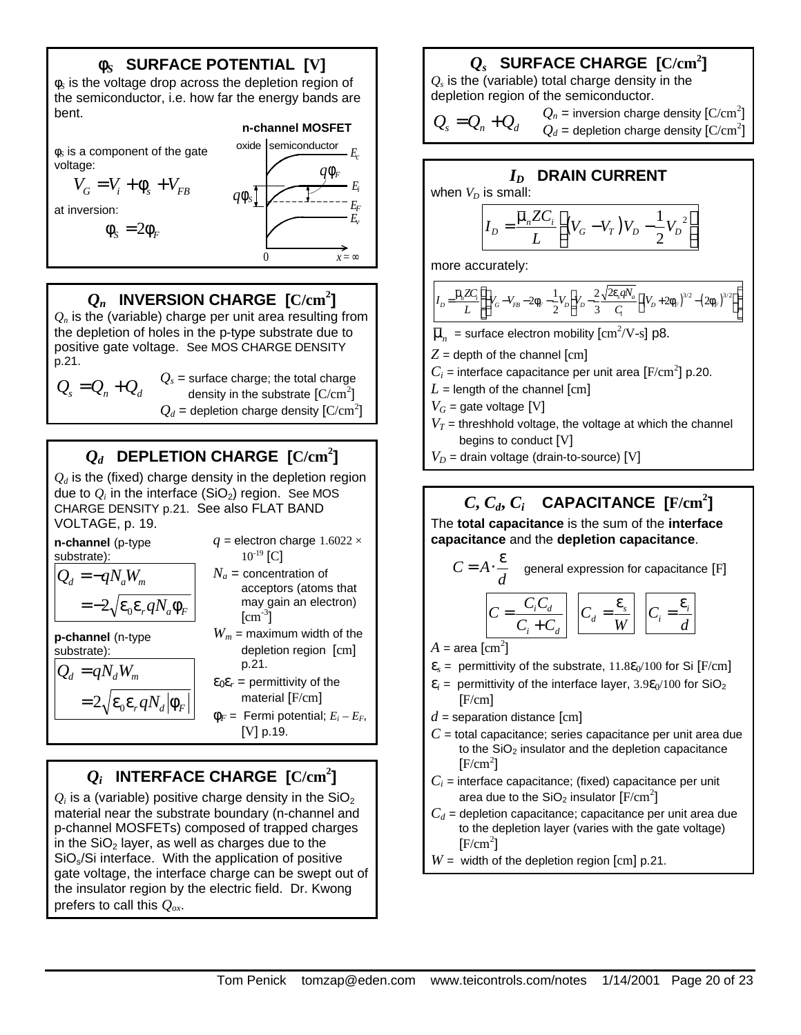# **f***S* **SURFACE POTENTIAL [V]**

φ*S* is the voltage drop across the depletion region of the semiconductor, i.e. how far the energy bands are bent.

φ*S* is a component of the gate voltage:

$$
V_G = V_i + \phi_s + V_{FB}
$$

at inversion:

$$
\phi_{S}=2\phi_{F}
$$



# $Q_n$  INVERSION CHARGE  $\rm [C/cm^2]$

 $Q_n$  is the (variable) charge per unit area resulting from the depletion of holes in the p-type substrate due to positive gate voltage. See MOS CHARGE DENSITY p.21.

$$
Q_s = Q_n + Q_d
$$

 $Q_s$  = surface charge; the total charge density in the substrate  ${\rm [C/cm^2]}$  $Q_d$  = depletion charge density  $\text{[C/cm}^2\text{]}$ 

# $Q_d$  DEPLETION CHARGE  $\rm [C/cm^2]$

 $Q_d$  is the (fixed) charge density in the depletion region due to  $Q_i$  in the interface (SiO<sub>2</sub>) region. See MOS CHARGE DENSITY p.21. See also FLAT BAND VOLTAGE, p. 19.

| n-channel (p-type<br>substrate):                                                                                       | $q =$ electron charge 1.6022 $\times$<br>$10^{-19}$ [C]                                                                                                        |  |  |
|------------------------------------------------------------------------------------------------------------------------|----------------------------------------------------------------------------------------------------------------------------------------------------------------|--|--|
| $Q_d = -qN_aW_m$<br>$=-2\sqrt{\varepsilon_0 \varepsilon_r q N_a \phi_F}$                                               | $N_a$ = concentration of<br>acceptors (atoms that<br>may gain an electron)<br>$\text{cm}^{-3}$ ]                                                               |  |  |
| <b>p-channel</b> (n-type<br>substrate):<br>$Q_d = qN_dW_m$<br>$=2\sqrt{\varepsilon_{0}\varepsilon_{r}qN_{d} \phi_{F}}$ | $W_m$ = maximum width of the<br>depletion region $\lceil$ cm $\rceil$<br>p.21.<br>$\mathbf{\varepsilon}_0 \mathbf{\varepsilon}_r = \text{permittivity of the}$ |  |  |
|                                                                                                                        | material $[F/cm]$<br>$\Phi_F$ = Fermi potential; $E_i - E_F$ ,<br>[V] p.19.                                                                                    |  |  |

# $Q_i$  INTERFACE CHARGE  $\rm{[C/cm^2]}$

 $Q_i$  is a (variable) positive charge density in the SiO<sub>2</sub> material near the substrate boundary (n-channel and p-channel MOSFETs) composed of trapped charges in the  $SiO<sub>2</sub>$  layer, as well as charges due to the SiOs/Si interface. With the application of positive gate voltage, the interface charge can be swept out of the insulator region by the electric field. Dr. Kwong prefers to call this *Qox*.

# $Q_s$  SURFACE CHARGE  $\rm [C/cm^2]$

*Qs* is the (variable) total charge density in the depletion region of the semiconductor.

$$
Q_s = Q_n + Q_d
$$
  $Q_n$  = inversion charge density [C/cm<sup>2</sup>]  
  $Q_d$  = depletion charge density [C/cm<sup>2</sup>]  
Q<sub>0</sub> =

# *ID* **DRAIN CURRENT**

when  $V_D$  is small:

$$
I_D = \frac{\overline{\mu}_n Z C_i}{L} \left[ \left( V_G - V_T \right) V_D - \frac{1}{2} V_D^2 \right]
$$

more accurately:

$$
I_{D} = \frac{\bar{\mu}_{n} Z C_{i}}{L} \left\{ \left( V_{G} - V_{FB} - 2 \phi_{F} - \frac{1}{2} V_{D} \right) V_{D} - \frac{2}{3} \frac{\sqrt{2 \varepsilon_{s} q N_{a}}}{C_{i}} \left[ \left( V_{D} + 2 \phi_{F} \right)^{3/2} - \left( 2 \phi_{F} \right)^{3/2} \right] \right\}
$$

- $\overline{\mu}_n$  = surface electron mobility  $\text{[cm}^2/\text{V-s} \text{]}$  p8.
- $Z =$  depth of the channel  $\lceil$ cm $\rceil$
- $C_i$  = interface capacitance per unit area  $[{\rm F/cm}^2]$  p.20.
- $L =$  length of the channel  $\lceil$ cm $\rceil$

 $V_G$  = gate voltage [V]

- $V_T$  = threshhold voltage, the voltage at which the channel begins to conduct [V]
- $V_D$  = drain voltage (drain-to-source) [V]

# $C, C_d, C_i$  CAPACITANCE  $[F/cm^2]$

The **total capacitance** is the sum of the **interface capacitance** and the **depletion capacitance**.

$$
C = A \cdot \frac{\varepsilon}{d} \quad \text{general expression for capacitance [F]}
$$

$$
C = \frac{C_i C_d}{C_i + C_d} \quad C_d = \frac{\varepsilon_s}{W} \quad C_i = \frac{\varepsilon_i}{d}
$$

 $A = \text{area [cm}^2]$ 

- $\varepsilon$ <sub>s</sub> = permittivity of the substrate,  $11.8\varepsilon_0/100$  for Si [F/cm]
- $\varepsilon_i$  = permittivity of the interface layer,  $3.9\varepsilon_0/100$  for SiO<sub>2</sub> [F/cm]
- $d$  = separation distance  $\lceil$ cm $\rceil$
- $C$  = total capacitance; series capacitance per unit area due to the  $SiO<sub>2</sub>$  insulator and the depletion capacitance  $[F/cm^2]$
- $C_i$  = interface capacitance; (fixed) capacitance per unit area due to the SiO $_2$  insulator  $\mathrm{[F/cm^2]}$
- $C_d$  = depletion capacitance; capacitance per unit area due to the depletion layer (varies with the gate voltage)  $[F/cm^2]$
- *W* = width of the depletion region [cm] p.21.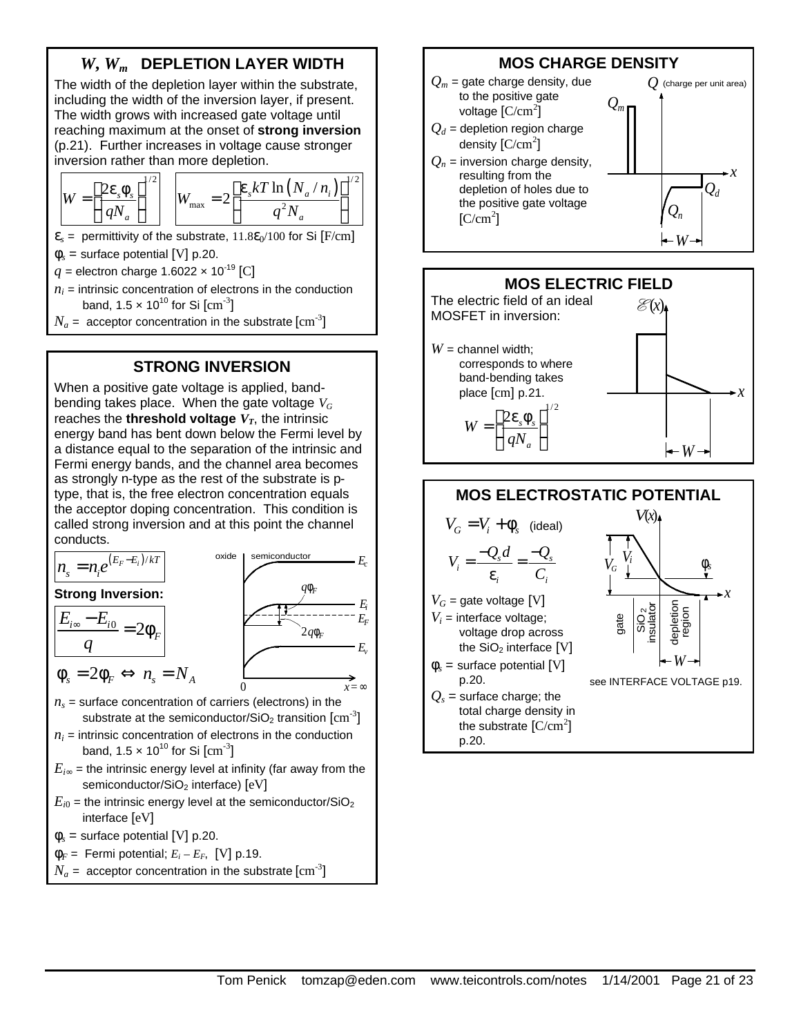# *W***,** *Wm* **DEPLETION LAYER WIDTH**

The width of the depletion layer within the substrate, including the width of the inversion layer, if present. The width grows with increased gate voltage until reaching maximum at the onset of **strong inversion** (p.21). Further increases in voltage cause stronger inversion rather than more depletion.

$$
W = \left[\frac{2\varepsilon_{s}\phi_{s}}{qN_{a}}\right]^{1/2} \qquad W_{\text{max}} = 2\left[\frac{\varepsilon_{s}kT\ln\left(N_{a}/n_{i}\right)}{q^{2}N_{a}}\right]^{1/2}
$$

 $\varepsilon$ <sub>s</sub> = permittivity of the substrate,  $11.8\varepsilon_0/100$  for Si [F/cm]

 $\phi_s$  = surface potential [V] p.20.

 $q =$  electron charge 1.6022  $\times$  10<sup>-19</sup> [C]

 $n_i$  = intrinsic concentration of electrons in the conduction band, 1.5  $\times$  10 $^{10}$  for Si  $\rm[cm^{-3}]$ 

 $N_a$  =  $\,$  acceptor concentration in the substrate  $\rm[cm^{-3}]$ 

### **STRONG INVERSION**

When a positive gate voltage is applied, bandbending takes place. When the gate voltage *V<sup>G</sup>* reaches the **threshold voltage**  $V_T$ , the intrinsic energy band has bent down below the Fermi level by a distance equal to the separation of the intrinsic and Fermi energy bands, and the channel area becomes as strongly n-type as the rest of the substrate is ptype, that is, the free electron concentration equals the acceptor doping concentration. This condition is called strong inversion and at this point the channel conducts.







*q*





*Ec*

 $\phi_{s} = 2\phi_{F} \Leftrightarrow n_{s} = N_{A}$ 

 $n<sub>s</sub>$  = surface concentration of carriers (electrons) in the substrate at the semiconductor/SiO<sub>2</sub> transition  $\mathrm{[cm^{3}]}$ 

0

- $n_i$  = intrinsic concentration of electrons in the conduction band, 1.5  $\times$  10 $^{10}$  for Si  $\rm[cm^{-3}]$
- $E_{i\infty}$  = the intrinsic energy level at infinity (far away from the semiconductor/SiO<sub>2</sub> interface) [eV]
- $E_{i0}$  = the intrinsic energy level at the semiconductor/SiO<sub>2</sub> interface [eV]
- $\phi_s$  = surface potential [V] p.20.
- $\Phi_F$  = Fermi potential;  $E_i E_F$ , [V] p.19.
- $N_a$  =  $\,$  acceptor concentration in the substrate  $\rm[cm^{-3}]$

# **MOS CHARGE DENSITY**

*Q<sup>m</sup>*

*Qd*

*Q* (charge per unit area)

*x*

 $-W \rightarrow$ 

*Qn*

- $Q_m$  = gate charge density, due to the positive gate voltage  $\text{[C/cm}^2\text{]}$
- $Q_d$  = depletion region charge density  ${\rm [C/cm^2]}$
- $Q_n$  = inversion charge density, resulting from the depletion of holes due to the positive gate voltage  $[C/cm<sup>2</sup>]$



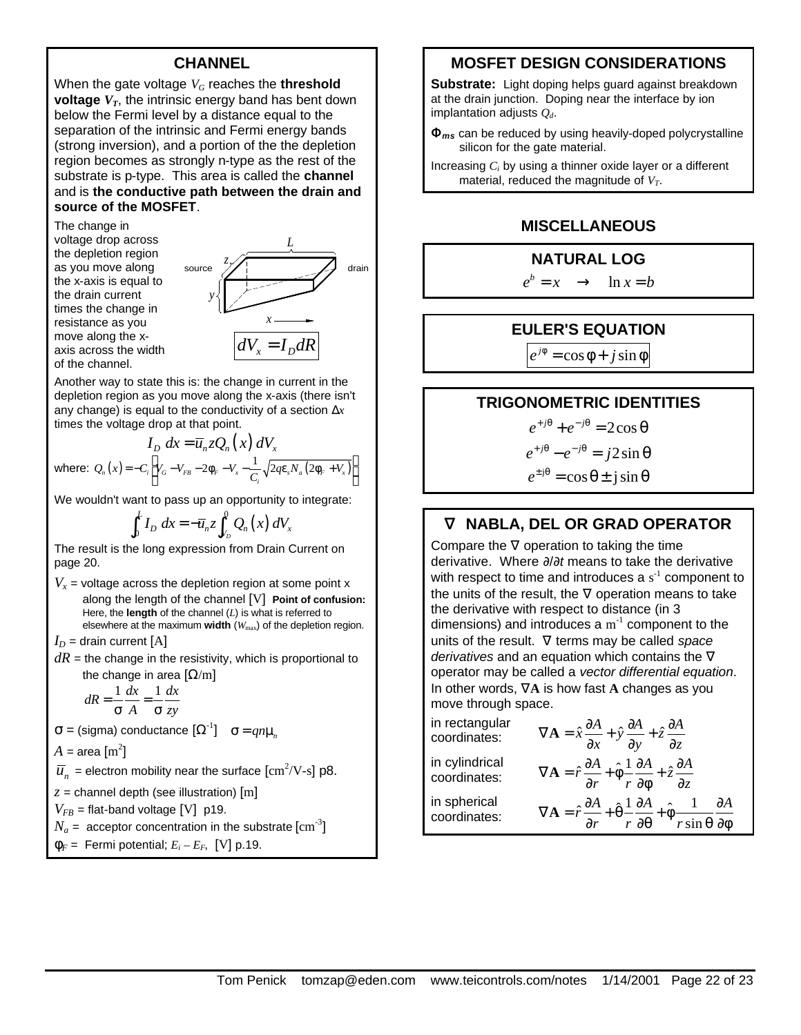#### **CHANNEL**

When the gate voltage  $V_G$  reaches the **threshold voltage**  $V_T$ , the intrinsic energy band has bent down below the Fermi level by a distance equal to the separation of the intrinsic and Fermi energy bands (strong inversion), and a portion of the the depletion region becomes as strongly n-type as the rest of the substrate is p-type. This area is called the **channel** and is **the conductive path between the drain and source of the MOSFET**.

The change in voltage drop across the depletion region as you move along the x-axis is equal to the drain current times the change in resistance as you move along the xaxis across the width of the channel.



Another way to state this is: the change in current in the depletion region as you move along the x-axis (there isn't any change) is equal to the conductivity of a section Δ*x* times the voltage drop at that point.

$$
I_D dx = \overline{u}_n z Q_n(x) dV_x
$$
  
where:  $Q_n(x) = -C_i \left[ V_G - V_{FB} - 2\phi_F - V_x - \frac{1}{C_i} \sqrt{2q \varepsilon_s N_a (2\phi_F + V_x)} \right]$ 

We wouldn't want to pass up an opportunity to integrate:

 $\int_a^0 Q_n(x)$ 0  $\overline{\phantom{a}}$   $\overline{\phantom{a}}$   $\overline{\phantom{a}}$   $\overline{\phantom{a}}$   $\overline{\phantom{a}}$   $\overline{\phantom{a}}$   $\overline{\phantom{a}}$   $\overline{\phantom{a}}$   $\overline{\phantom{a}}$   $\overline{\phantom{a}}$   $\overline{\phantom{a}}$   $\overline{\phantom{a}}$   $\overline{\phantom{a}}$   $\overline{\phantom{a}}$   $\overline{\phantom{a}}$   $\overline{\phantom{a}}$   $\overline{\phantom{a}}$   $\overline{\phantom{a}}$   $\over$ *L*  $\int_0^L I_D \, dx = -\overline{u}_n z \int_{V_D}^{\infty} Q_n(x) \, dV_x$ 

The result is the long expression from Drain Current on page 20.

 $V_x$  = voltage across the depletion region at some point x along the length of the channel [V] **Point of confusion:** Here, the **length** of the channel (*L*) is what is referred to elsewhere at the maximum **width** (*W*max) of the depletion region.

 $I_D$  = drain current [A]

 $dR$  = the change in the resistivity, which is proportional to the change in area  $[\Omega/m]$ 

$$
dR = \frac{1}{\sigma} \frac{dx}{A} = \frac{1}{\sigma} \frac{dx}{zy}
$$

 $\sigma$  = (sigma) conductance  $[\Omega^{\text{-}1}]$   $\sigma$  =  $qn\mu_n$ 

$$
A = \text{area [m}^2]
$$

 $\overline{u}_n^{}$  = electron mobility near the surface  $\rm[cm^2/V\text{-}s]$  p8.

*z* = channel depth (see illustration) [m]

 $V_{FB}$  = flat-band voltage [V] p19.

 $N_a$  =  $\,$  acceptor concentration in the substrate  $\rm[cm^{-3}]$ 

 $\Phi_F$  = Fermi potential;  $E_i - E_F$ , [V] p.19.

# **MOSFET DESIGN CONSIDERATIONS**

**Substrate:** Light doping helps guard against breakdown at the drain junction. Doping near the interface by ion implantation adjusts *Qd*.

**F***ms* can be reduced by using heavily-doped polycrystalline silicon for the gate material.

Increasing *Ci* by using a thinner oxide layer or a different material, reduced the magnitude of *VT*.

### **MISCELLANEOUS**

#### **NATURAL LOG**

 $e^b = x \rightarrow \ln x = b$ 

#### **EULER'S EQUATION**

 $e^{j\phi} = \cos \phi + j \sin \phi$ 

#### **TRIGONOMETRIC IDENTITIES**

 $e^{+j\theta} + e^{-j\theta} = 2\cos\theta$ 

 $e^{+j\theta} - e^{-j\theta} = j2\sin\theta$ 

 $e^{\pm j\theta} = \cos \theta \pm j \sin \theta$ 

# **Ñ NABLA, DEL OR GRAD OPERATOR**

Compare the  $\nabla$  operation to taking the time derivative. Where ∂/∂*t* means to take the derivative with respect to time and introduces a  $s<sup>-1</sup>$  component to the units of the result, the  $\nabla$  operation means to take the derivative with respect to distance (in 3 dimensions) and introduces a  $m^{-1}$  component to the units of the result. ∇ terms may be called *space derivatives* and an equation which contains the ∇ operator may be called a *vector differential equation*. In other words, ∇**A** is how fast **A** changes as you move through space.

| in rectangular<br>coordinates: | $\nabla \mathbf{A} = \hat{x} \frac{\partial A}{\partial x} + \hat{y} \frac{\partial A}{\partial y} + \hat{z} \frac{\partial A}{\partial z}$                                                     |
|--------------------------------|-------------------------------------------------------------------------------------------------------------------------------------------------------------------------------------------------|
| in cylindrical<br>coordinates: | $\nabla \mathbf{A} = \hat{r} \frac{\partial A}{\partial r} + \hat{\phi} \frac{1}{r} \frac{\partial A}{\partial \phi} + \hat{z} \frac{\partial A}{\partial z}$                                   |
| in spherical<br>coordinates:   | $\nabla \mathbf{A} = \hat{r} \frac{\partial A}{\partial r} + \hat{\theta} \frac{1}{r} \frac{\partial A}{\partial \theta} + \hat{\phi} \frac{1}{r \sin \theta} \frac{\partial A}{\partial \phi}$ |